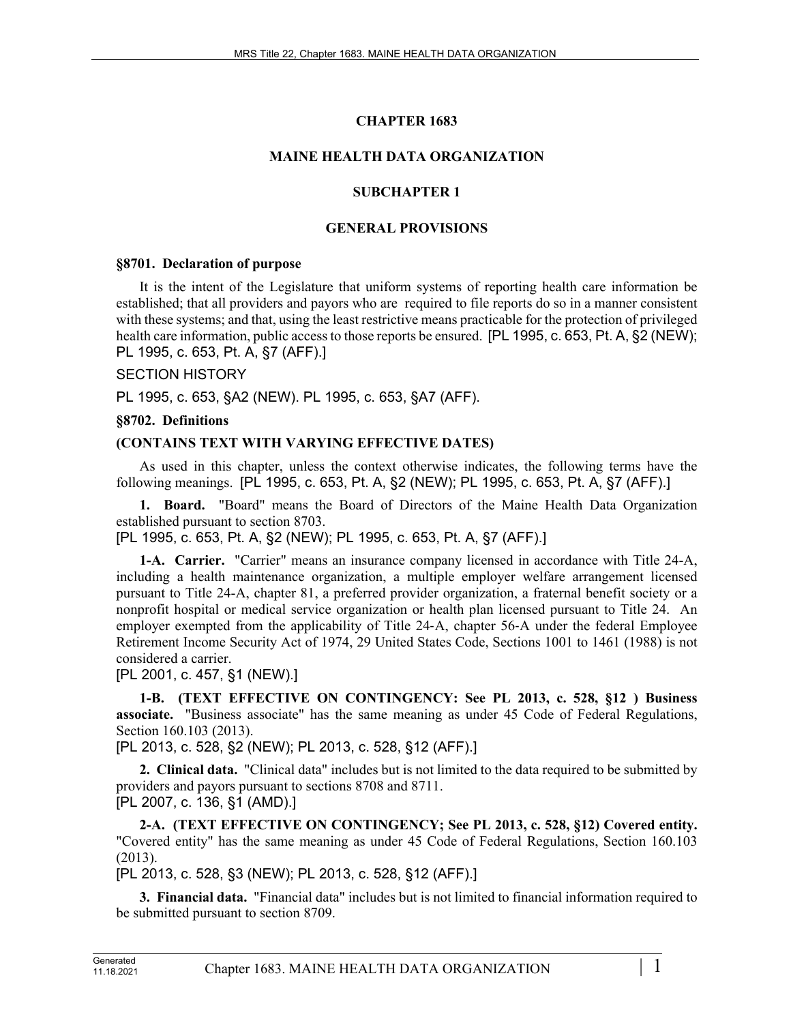# **CHAPTER 1683**

# **MAINE HEALTH DATA ORGANIZATION**

### **SUBCHAPTER 1**

### **GENERAL PROVISIONS**

### **§8701. Declaration of purpose**

It is the intent of the Legislature that uniform systems of reporting health care information be established; that all providers and payors who are required to file reports do so in a manner consistent with these systems; and that, using the least restrictive means practicable for the protection of privileged health care information, public access to those reports be ensured. [PL 1995, c. 653, Pt. A, §2 (NEW); PL 1995, c. 653, Pt. A, §7 (AFF).]

### SECTION HISTORY

PL 1995, c. 653, §A2 (NEW). PL 1995, c. 653, §A7 (AFF).

### **§8702. Definitions**

### **(CONTAINS TEXT WITH VARYING EFFECTIVE DATES)**

As used in this chapter, unless the context otherwise indicates, the following terms have the following meanings. [PL 1995, c. 653, Pt. A, §2 (NEW); PL 1995, c. 653, Pt. A, §7 (AFF).]

**1. Board.** "Board" means the Board of Directors of the Maine Health Data Organization established pursuant to section 8703.

[PL 1995, c. 653, Pt. A, §2 (NEW); PL 1995, c. 653, Pt. A, §7 (AFF).]

**1-A. Carrier.** "Carrier" means an insurance company licensed in accordance with Title 24-A, including a health maintenance organization, a multiple employer welfare arrangement licensed pursuant to Title 24-A, chapter 81, a preferred provider organization, a fraternal benefit society or a nonprofit hospital or medical service organization or health plan licensed pursuant to Title 24. An employer exempted from the applicability of Title 24–A, chapter 56–A under the federal Employee Retirement Income Security Act of 1974, 29 United States Code, Sections 1001 to 1461 (1988) is not considered a carrier.

[PL 2001, c. 457, §1 (NEW).]

**1-B. (TEXT EFFECTIVE ON CONTINGENCY: See PL 2013, c. 528, §12 ) Business associate.** "Business associate" has the same meaning as under 45 Code of Federal Regulations, Section 160.103 (2013).

[PL 2013, c. 528, §2 (NEW); PL 2013, c. 528, §12 (AFF).]

**2. Clinical data.** "Clinical data" includes but is not limited to the data required to be submitted by providers and payors pursuant to sections 8708 and 8711. [PL 2007, c. 136, §1 (AMD).]

**2-A. (TEXT EFFECTIVE ON CONTINGENCY; See PL 2013, c. 528, §12) Covered entity.**  "Covered entity" has the same meaning as under 45 Code of Federal Regulations, Section 160.103 (2013).

[PL 2013, c. 528, §3 (NEW); PL 2013, c. 528, §12 (AFF).]

**3. Financial data.** "Financial data" includes but is not limited to financial information required to be submitted pursuant to section 8709.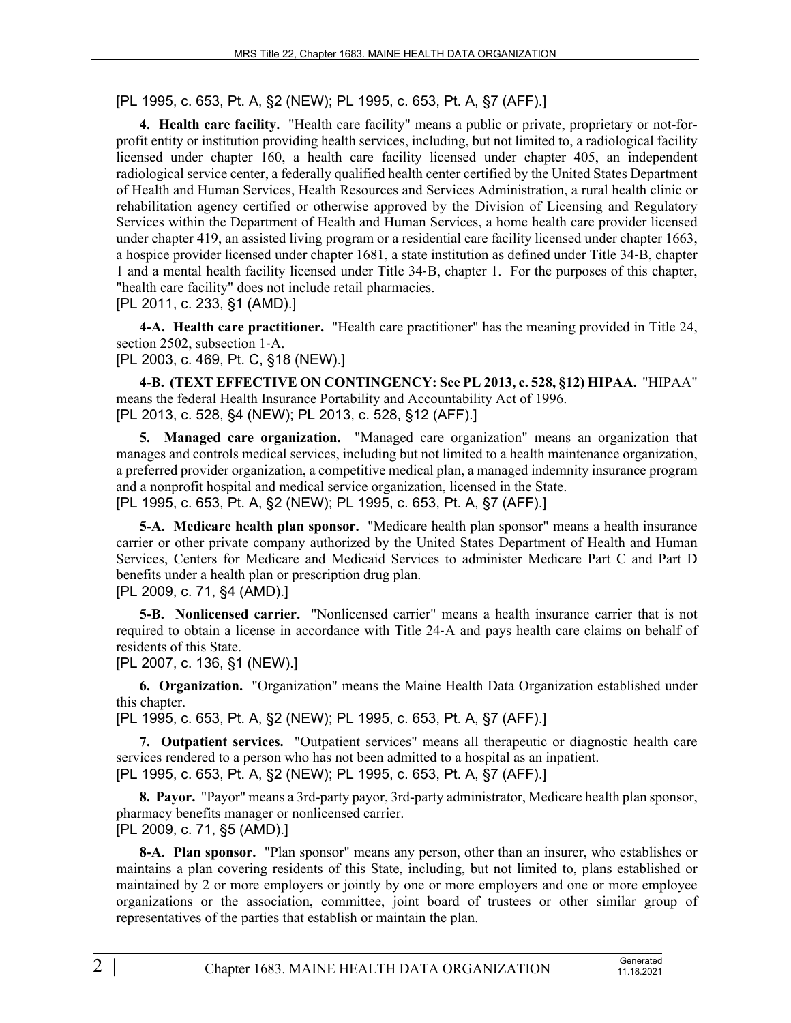[PL 1995, c. 653, Pt. A, §2 (NEW); PL 1995, c. 653, Pt. A, §7 (AFF).]

**4. Health care facility.** "Health care facility" means a public or private, proprietary or not-forprofit entity or institution providing health services, including, but not limited to, a radiological facility licensed under chapter 160, a health care facility licensed under chapter 405, an independent radiological service center, a federally qualified health center certified by the United States Department of Health and Human Services, Health Resources and Services Administration, a rural health clinic or rehabilitation agency certified or otherwise approved by the Division of Licensing and Regulatory Services within the Department of Health and Human Services, a home health care provider licensed under chapter 419, an assisted living program or a residential care facility licensed under chapter 1663, a hospice provider licensed under chapter 1681, a state institution as defined under Title 34‑B, chapter 1 and a mental health facility licensed under Title 34‑B, chapter 1. For the purposes of this chapter, "health care facility" does not include retail pharmacies.

[PL 2011, c. 233, §1 (AMD).]

**4-A. Health care practitioner.** "Health care practitioner" has the meaning provided in Title 24, section 2502, subsection 1-A.

[PL 2003, c. 469, Pt. C, §18 (NEW).]

**4-B. (TEXT EFFECTIVE ON CONTINGENCY: See PL 2013, c. 528, §12) HIPAA.** "HIPAA" means the federal Health Insurance Portability and Accountability Act of 1996. [PL 2013, c. 528, §4 (NEW); PL 2013, c. 528, §12 (AFF).]

**5. Managed care organization.** "Managed care organization" means an organization that manages and controls medical services, including but not limited to a health maintenance organization, a preferred provider organization, a competitive medical plan, a managed indemnity insurance program and a nonprofit hospital and medical service organization, licensed in the State. [PL 1995, c. 653, Pt. A, §2 (NEW); PL 1995, c. 653, Pt. A, §7 (AFF).]

**5-A. Medicare health plan sponsor.** "Medicare health plan sponsor" means a health insurance carrier or other private company authorized by the United States Department of Health and Human Services, Centers for Medicare and Medicaid Services to administer Medicare Part C and Part D benefits under a health plan or prescription drug plan.

[PL 2009, c. 71, §4 (AMD).]

**5-B. Nonlicensed carrier.** "Nonlicensed carrier" means a health insurance carrier that is not required to obtain a license in accordance with Title 24‑A and pays health care claims on behalf of residents of this State.

[PL 2007, c. 136, §1 (NEW).]

**6. Organization.** "Organization" means the Maine Health Data Organization established under this chapter.

[PL 1995, c. 653, Pt. A, §2 (NEW); PL 1995, c. 653, Pt. A, §7 (AFF).]

**7. Outpatient services.** "Outpatient services" means all therapeutic or diagnostic health care services rendered to a person who has not been admitted to a hospital as an inpatient. [PL 1995, c. 653, Pt. A, §2 (NEW); PL 1995, c. 653, Pt. A, §7 (AFF).]

**8. Payor.** "Payor" means a 3rd-party payor, 3rd-party administrator, Medicare health plan sponsor, pharmacy benefits manager or nonlicensed carrier. [PL 2009, c. 71, §5 (AMD).]

**8-A. Plan sponsor.** "Plan sponsor" means any person, other than an insurer, who establishes or maintains a plan covering residents of this State, including, but not limited to, plans established or maintained by 2 or more employers or jointly by one or more employers and one or more employee organizations or the association, committee, joint board of trustees or other similar group of representatives of the parties that establish or maintain the plan.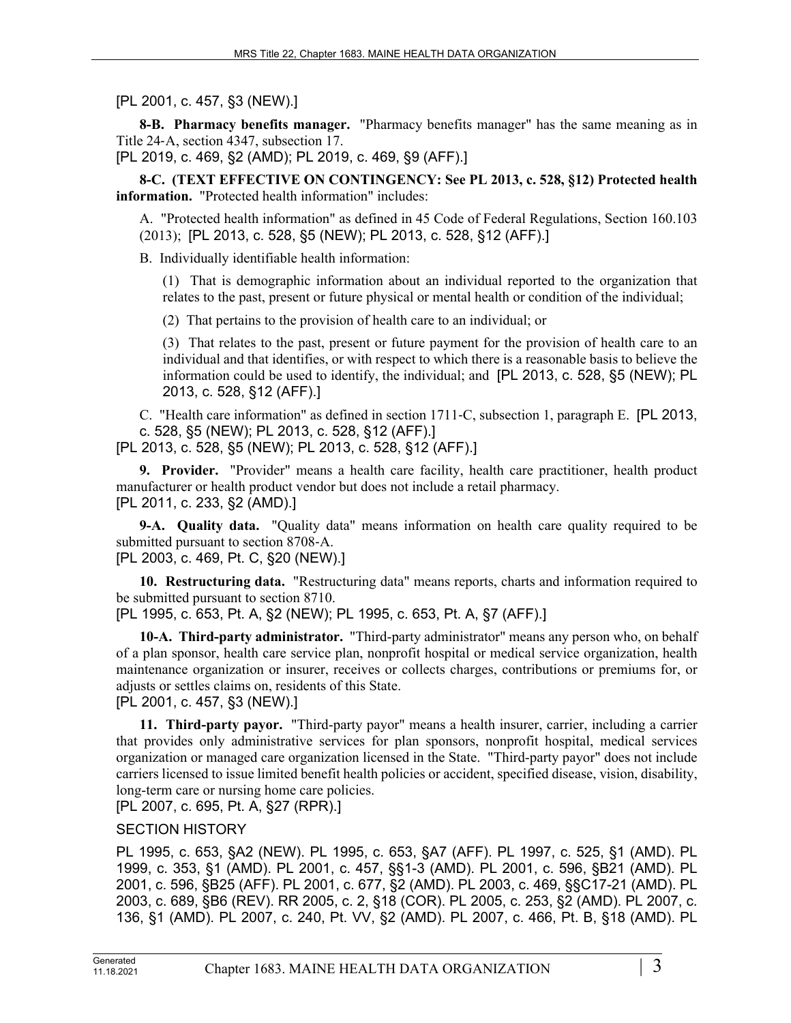[PL 2001, c. 457, §3 (NEW).]

**8-B. Pharmacy benefits manager.** "Pharmacy benefits manager" has the same meaning as in Title 24‑A, section 4347, subsection 17.

[PL 2019, c. 469, §2 (AMD); PL 2019, c. 469, §9 (AFF).]

**8-C. (TEXT EFFECTIVE ON CONTINGENCY: See PL 2013, c. 528, §12) Protected health information.** "Protected health information" includes:

A. "Protected health information" as defined in 45 Code of Federal Regulations, Section 160.103 (2013); [PL 2013, c. 528, §5 (NEW); PL 2013, c. 528, §12 (AFF).]

B. Individually identifiable health information:

(1) That is demographic information about an individual reported to the organization that relates to the past, present or future physical or mental health or condition of the individual;

(2) That pertains to the provision of health care to an individual; or

(3) That relates to the past, present or future payment for the provision of health care to an individual and that identifies, or with respect to which there is a reasonable basis to believe the information could be used to identify, the individual; and [PL 2013, c. 528, §5 (NEW); PL 2013, c. 528, §12 (AFF).]

C. "Health care information" as defined in section 1711‑C, subsection 1, paragraph E. [PL 2013, c. 528, §5 (NEW); PL 2013, c. 528, §12 (AFF).]

[PL 2013, c. 528, §5 (NEW); PL 2013, c. 528, §12 (AFF).]

**9. Provider.** "Provider" means a health care facility, health care practitioner, health product manufacturer or health product vendor but does not include a retail pharmacy. [PL 2011, c. 233, §2 (AMD).]

**9-A. Quality data.** "Quality data" means information on health care quality required to be submitted pursuant to section 8708‑A. [PL 2003, c. 469, Pt. C, §20 (NEW).]

**10. Restructuring data.** "Restructuring data" means reports, charts and information required to be submitted pursuant to section 8710.

[PL 1995, c. 653, Pt. A, §2 (NEW); PL 1995, c. 653, Pt. A, §7 (AFF).]

**10-A. Third-party administrator.** "Third-party administrator" means any person who, on behalf of a plan sponsor, health care service plan, nonprofit hospital or medical service organization, health maintenance organization or insurer, receives or collects charges, contributions or premiums for, or adjusts or settles claims on, residents of this State.

[PL 2001, c. 457, §3 (NEW).]

**11. Third-party payor.** "Third-party payor" means a health insurer, carrier, including a carrier that provides only administrative services for plan sponsors, nonprofit hospital, medical services organization or managed care organization licensed in the State. "Third-party payor" does not include carriers licensed to issue limited benefit health policies or accident, specified disease, vision, disability, long-term care or nursing home care policies.

[PL 2007, c. 695, Pt. A, §27 (RPR).]

### SECTION HISTORY

PL 1995, c. 653, §A2 (NEW). PL 1995, c. 653, §A7 (AFF). PL 1997, c. 525, §1 (AMD). PL 1999, c. 353, §1 (AMD). PL 2001, c. 457, §§1-3 (AMD). PL 2001, c. 596, §B21 (AMD). PL 2001, c. 596, §B25 (AFF). PL 2001, c. 677, §2 (AMD). PL 2003, c. 469, §§C17-21 (AMD). PL 2003, c. 689, §B6 (REV). RR 2005, c. 2, §18 (COR). PL 2005, c. 253, §2 (AMD). PL 2007, c. 136, §1 (AMD). PL 2007, c. 240, Pt. VV, §2 (AMD). PL 2007, c. 466, Pt. B, §18 (AMD). PL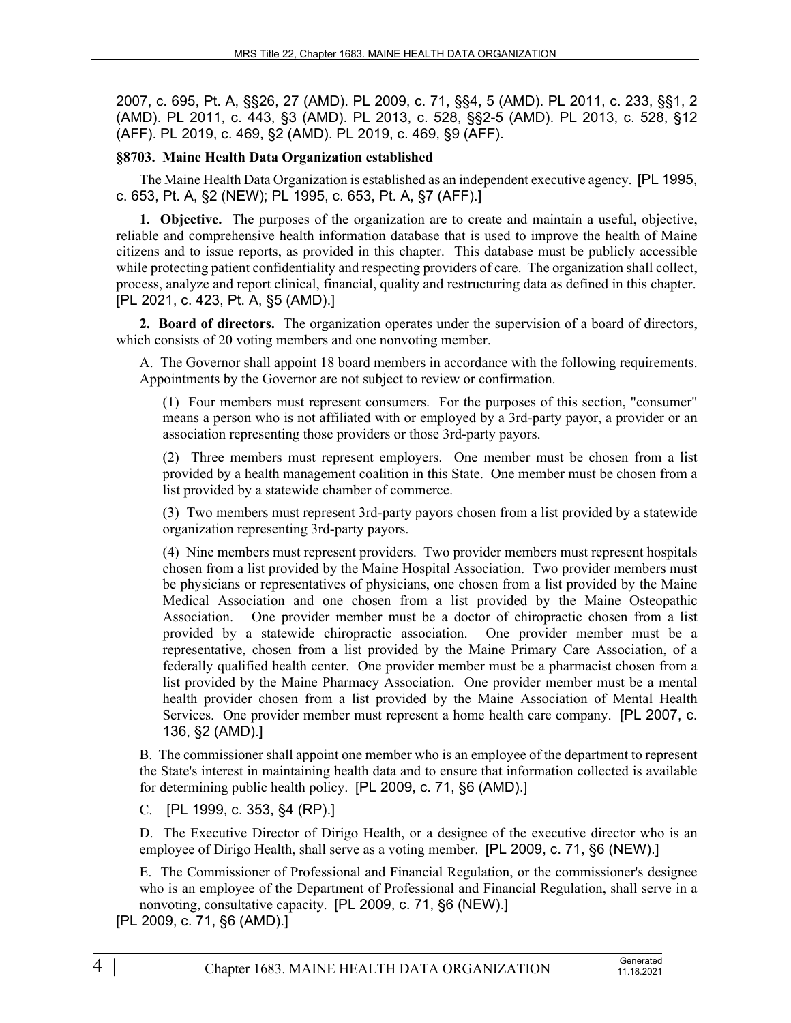2007, c. 695, Pt. A, §§26, 27 (AMD). PL 2009, c. 71, §§4, 5 (AMD). PL 2011, c. 233, §§1, 2 (AMD). PL 2011, c. 443, §3 (AMD). PL 2013, c. 528, §§2-5 (AMD). PL 2013, c. 528, §12 (AFF). PL 2019, c. 469, §2 (AMD). PL 2019, c. 469, §9 (AFF).

# **§8703. Maine Health Data Organization established**

The Maine Health Data Organization is established as an independent executive agency. [PL 1995, c. 653, Pt. A, §2 (NEW); PL 1995, c. 653, Pt. A, §7 (AFF).]

**1. Objective.** The purposes of the organization are to create and maintain a useful, objective, reliable and comprehensive health information database that is used to improve the health of Maine citizens and to issue reports, as provided in this chapter. This database must be publicly accessible while protecting patient confidentiality and respecting providers of care. The organization shall collect, process, analyze and report clinical, financial, quality and restructuring data as defined in this chapter. [PL 2021, c. 423, Pt. A, §5 (AMD).]

**2. Board of directors.** The organization operates under the supervision of a board of directors, which consists of 20 voting members and one nonvoting member.

A. The Governor shall appoint 18 board members in accordance with the following requirements. Appointments by the Governor are not subject to review or confirmation.

(1) Four members must represent consumers. For the purposes of this section, "consumer" means a person who is not affiliated with or employed by a 3rd-party payor, a provider or an association representing those providers or those 3rd-party payors.

(2) Three members must represent employers. One member must be chosen from a list provided by a health management coalition in this State. One member must be chosen from a list provided by a statewide chamber of commerce.

(3) Two members must represent 3rd-party payors chosen from a list provided by a statewide organization representing 3rd-party payors.

(4) Nine members must represent providers. Two provider members must represent hospitals chosen from a list provided by the Maine Hospital Association. Two provider members must be physicians or representatives of physicians, one chosen from a list provided by the Maine Medical Association and one chosen from a list provided by the Maine Osteopathic Association. One provider member must be a doctor of chiropractic chosen from a list provided by a statewide chiropractic association. One provider member must be a representative, chosen from a list provided by the Maine Primary Care Association, of a federally qualified health center. One provider member must be a pharmacist chosen from a list provided by the Maine Pharmacy Association. One provider member must be a mental health provider chosen from a list provided by the Maine Association of Mental Health Services. One provider member must represent a home health care company. [PL 2007, c. 136, §2 (AMD).]

B. The commissioner shall appoint one member who is an employee of the department to represent the State's interest in maintaining health data and to ensure that information collected is available for determining public health policy. [PL 2009, c. 71, §6 (AMD).]

C. [PL 1999, c. 353, §4 (RP).]

D. The Executive Director of Dirigo Health, or a designee of the executive director who is an employee of Dirigo Health, shall serve as a voting member. [PL 2009, c. 71, §6 (NEW).]

E. The Commissioner of Professional and Financial Regulation, or the commissioner's designee who is an employee of the Department of Professional and Financial Regulation, shall serve in a nonvoting, consultative capacity. [PL 2009, c. 71, §6 (NEW).]

[PL 2009, c. 71, §6 (AMD).]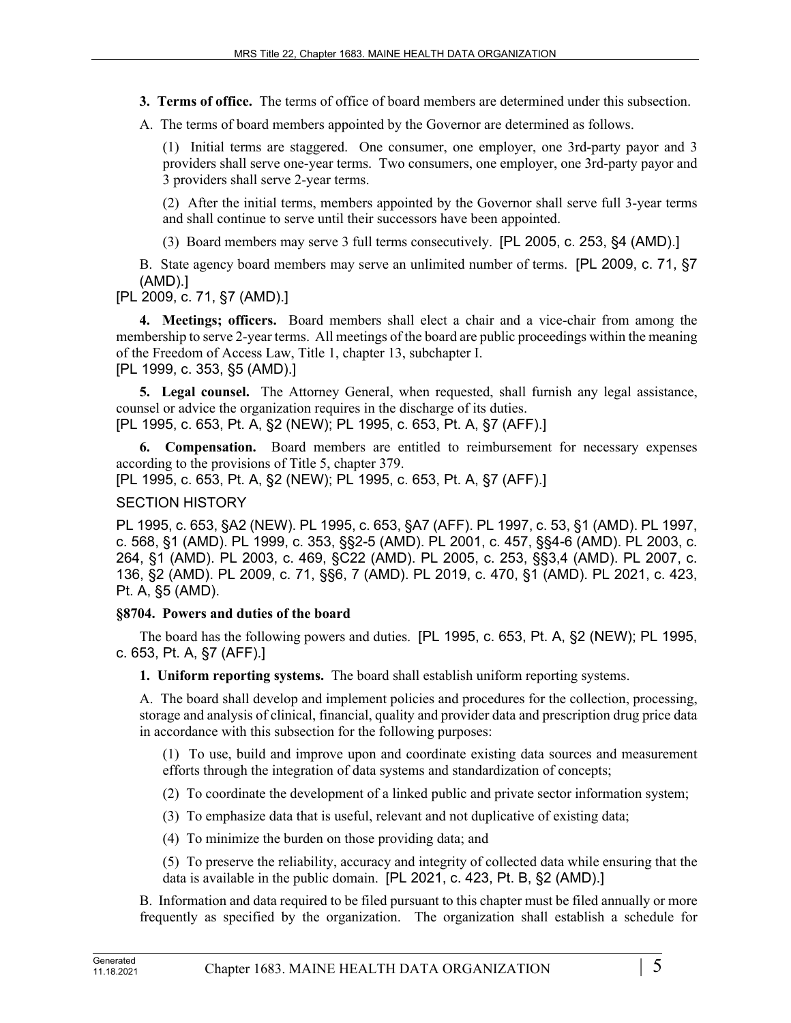**3. Terms of office.** The terms of office of board members are determined under this subsection.

A. The terms of board members appointed by the Governor are determined as follows.

(1) Initial terms are staggered. One consumer, one employer, one 3rd-party payor and 3 providers shall serve one-year terms. Two consumers, one employer, one 3rd-party payor and 3 providers shall serve 2-year terms.

(2) After the initial terms, members appointed by the Governor shall serve full 3-year terms and shall continue to serve until their successors have been appointed.

(3) Board members may serve 3 full terms consecutively. [PL 2005, c. 253, §4 (AMD).]

B. State agency board members may serve an unlimited number of terms. [PL 2009, c. 71, §7 (AMD).]

[PL 2009, c. 71, §7 (AMD).]

**4. Meetings; officers.** Board members shall elect a chair and a vice-chair from among the membership to serve 2-year terms. All meetings of the board are public proceedings within the meaning of the Freedom of Access Law, Title 1, chapter 13, subchapter I. [PL 1999, c. 353, §5 (AMD).]

**5. Legal counsel.** The Attorney General, when requested, shall furnish any legal assistance, counsel or advice the organization requires in the discharge of its duties.

[PL 1995, c. 653, Pt. A, §2 (NEW); PL 1995, c. 653, Pt. A, §7 (AFF).]

**6. Compensation.** Board members are entitled to reimbursement for necessary expenses according to the provisions of Title 5, chapter 379.

[PL 1995, c. 653, Pt. A, §2 (NEW); PL 1995, c. 653, Pt. A, §7 (AFF).]

#### SECTION HISTORY

PL 1995, c. 653, §A2 (NEW). PL 1995, c. 653, §A7 (AFF). PL 1997, c. 53, §1 (AMD). PL 1997, c. 568, §1 (AMD). PL 1999, c. 353, §§2-5 (AMD). PL 2001, c. 457, §§4-6 (AMD). PL 2003, c. 264, §1 (AMD). PL 2003, c. 469, §C22 (AMD). PL 2005, c. 253, §§3,4 (AMD). PL 2007, c. 136, §2 (AMD). PL 2009, c. 71, §§6, 7 (AMD). PL 2019, c. 470, §1 (AMD). PL 2021, c. 423, Pt. A, §5 (AMD).

### **§8704. Powers and duties of the board**

The board has the following powers and duties. [PL 1995, c. 653, Pt. A, §2 (NEW); PL 1995, c. 653, Pt. A, §7 (AFF).]

**1. Uniform reporting systems.** The board shall establish uniform reporting systems.

A. The board shall develop and implement policies and procedures for the collection, processing, storage and analysis of clinical, financial, quality and provider data and prescription drug price data in accordance with this subsection for the following purposes:

(1) To use, build and improve upon and coordinate existing data sources and measurement efforts through the integration of data systems and standardization of concepts;

(2) To coordinate the development of a linked public and private sector information system;

(3) To emphasize data that is useful, relevant and not duplicative of existing data;

(4) To minimize the burden on those providing data; and

(5) To preserve the reliability, accuracy and integrity of collected data while ensuring that the data is available in the public domain. [PL 2021, c. 423, Pt. B, §2 (AMD).]

B. Information and data required to be filed pursuant to this chapter must be filed annually or more frequently as specified by the organization. The organization shall establish a schedule for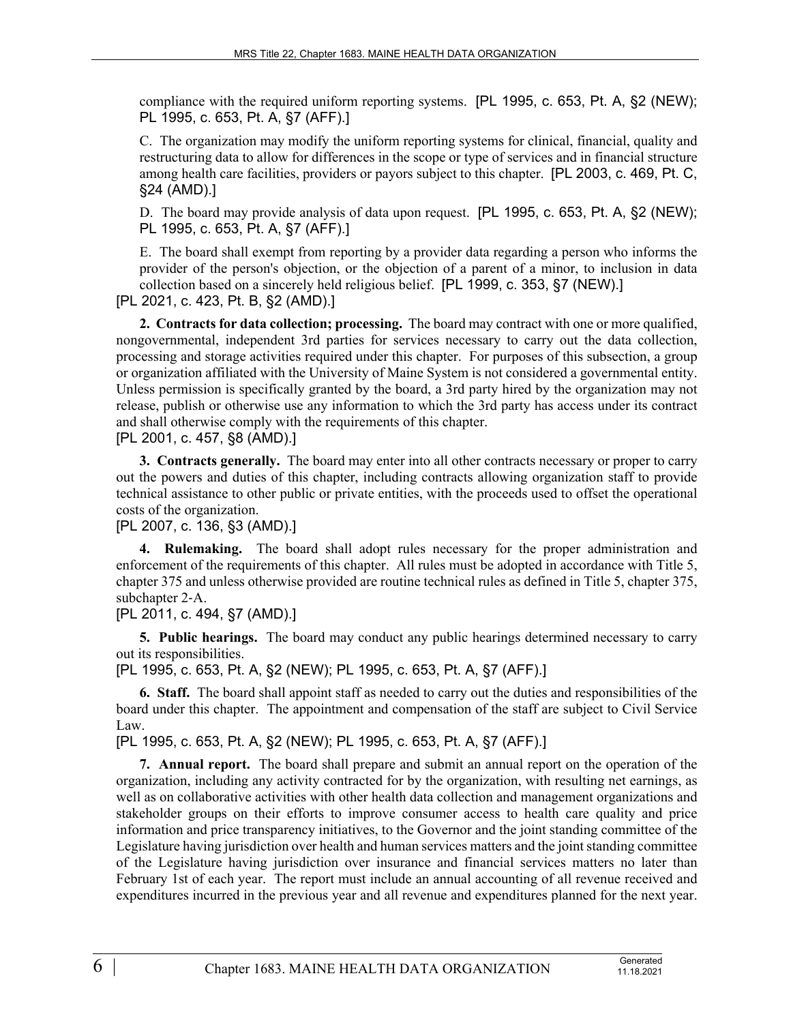compliance with the required uniform reporting systems. [PL 1995, c. 653, Pt. A, §2 (NEW); PL 1995, c. 653, Pt. A, §7 (AFF).]

C. The organization may modify the uniform reporting systems for clinical, financial, quality and restructuring data to allow for differences in the scope or type of services and in financial structure among health care facilities, providers or payors subject to this chapter. [PL 2003, c. 469, Pt. C, §24 (AMD).]

D. The board may provide analysis of data upon request. [PL 1995, c. 653, Pt. A, §2 (NEW); PL 1995, c. 653, Pt. A, §7 (AFF).]

E. The board shall exempt from reporting by a provider data regarding a person who informs the provider of the person's objection, or the objection of a parent of a minor, to inclusion in data collection based on a sincerely held religious belief. [PL 1999, c. 353, §7 (NEW).]

[PL 2021, c. 423, Pt. B, §2 (AMD).]

**2. Contracts for data collection; processing.** The board may contract with one or more qualified, nongovernmental, independent 3rd parties for services necessary to carry out the data collection, processing and storage activities required under this chapter. For purposes of this subsection, a group or organization affiliated with the University of Maine System is not considered a governmental entity. Unless permission is specifically granted by the board, a 3rd party hired by the organization may not release, publish or otherwise use any information to which the 3rd party has access under its contract and shall otherwise comply with the requirements of this chapter.

### [PL 2001, c. 457, §8 (AMD).]

**3. Contracts generally.** The board may enter into all other contracts necessary or proper to carry out the powers and duties of this chapter, including contracts allowing organization staff to provide technical assistance to other public or private entities, with the proceeds used to offset the operational costs of the organization.

[PL 2007, c. 136, §3 (AMD).]

**4. Rulemaking.** The board shall adopt rules necessary for the proper administration and enforcement of the requirements of this chapter. All rules must be adopted in accordance with Title 5, chapter 375 and unless otherwise provided are routine technical rules as defined in Title 5, chapter 375, subchapter 2‑A.

[PL 2011, c. 494, §7 (AMD).]

**5. Public hearings.** The board may conduct any public hearings determined necessary to carry out its responsibilities.

[PL 1995, c. 653, Pt. A, §2 (NEW); PL 1995, c. 653, Pt. A, §7 (AFF).]

**6. Staff.** The board shall appoint staff as needed to carry out the duties and responsibilities of the board under this chapter. The appointment and compensation of the staff are subject to Civil Service Law.

[PL 1995, c. 653, Pt. A, §2 (NEW); PL 1995, c. 653, Pt. A, §7 (AFF).]

**7. Annual report.** The board shall prepare and submit an annual report on the operation of the organization, including any activity contracted for by the organization, with resulting net earnings, as well as on collaborative activities with other health data collection and management organizations and stakeholder groups on their efforts to improve consumer access to health care quality and price information and price transparency initiatives, to the Governor and the joint standing committee of the Legislature having jurisdiction over health and human services matters and the joint standing committee of the Legislature having jurisdiction over insurance and financial services matters no later than February 1st of each year. The report must include an annual accounting of all revenue received and expenditures incurred in the previous year and all revenue and expenditures planned for the next year.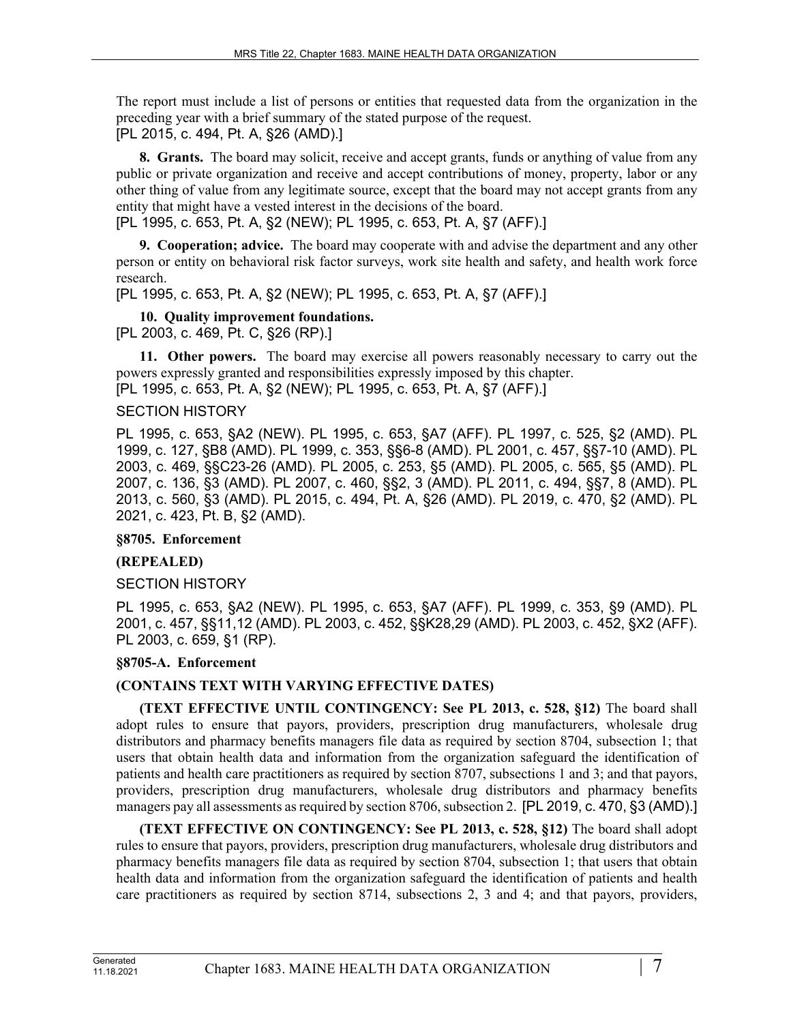The report must include a list of persons or entities that requested data from the organization in the preceding year with a brief summary of the stated purpose of the request. [PL 2015, c. 494, Pt. A, §26 (AMD).]

**8. Grants.** The board may solicit, receive and accept grants, funds or anything of value from any public or private organization and receive and accept contributions of money, property, labor or any other thing of value from any legitimate source, except that the board may not accept grants from any entity that might have a vested interest in the decisions of the board.

[PL 1995, c. 653, Pt. A, §2 (NEW); PL 1995, c. 653, Pt. A, §7 (AFF).]

**9. Cooperation; advice.** The board may cooperate with and advise the department and any other person or entity on behavioral risk factor surveys, work site health and safety, and health work force research.

[PL 1995, c. 653, Pt. A, §2 (NEW); PL 1995, c. 653, Pt. A, §7 (AFF).]

**10. Quality improvement foundations.**  [PL 2003, c. 469, Pt. C, §26 (RP).]

**11. Other powers.** The board may exercise all powers reasonably necessary to carry out the powers expressly granted and responsibilities expressly imposed by this chapter.

[PL 1995, c. 653, Pt. A, §2 (NEW); PL 1995, c. 653, Pt. A, §7 (AFF).]

### SECTION HISTORY

PL 1995, c. 653, §A2 (NEW). PL 1995, c. 653, §A7 (AFF). PL 1997, c. 525, §2 (AMD). PL 1999, c. 127, §B8 (AMD). PL 1999, c. 353, §§6-8 (AMD). PL 2001, c. 457, §§7-10 (AMD). PL 2003, c. 469, §§C23-26 (AMD). PL 2005, c. 253, §5 (AMD). PL 2005, c. 565, §5 (AMD). PL 2007, c. 136, §3 (AMD). PL 2007, c. 460, §§2, 3 (AMD). PL 2011, c. 494, §§7, 8 (AMD). PL 2013, c. 560, §3 (AMD). PL 2015, c. 494, Pt. A, §26 (AMD). PL 2019, c. 470, §2 (AMD). PL 2021, c. 423, Pt. B, §2 (AMD).

**§8705. Enforcement**

# **(REPEALED)**

SECTION HISTORY

PL 1995, c. 653, §A2 (NEW). PL 1995, c. 653, §A7 (AFF). PL 1999, c. 353, §9 (AMD). PL 2001, c. 457, §§11,12 (AMD). PL 2003, c. 452, §§K28,29 (AMD). PL 2003, c. 452, §X2 (AFF). PL 2003, c. 659, §1 (RP).

### **§8705-A. Enforcement**

# **(CONTAINS TEXT WITH VARYING EFFECTIVE DATES)**

**(TEXT EFFECTIVE UNTIL CONTINGENCY: See PL 2013, c. 528, §12)** The board shall adopt rules to ensure that payors, providers, prescription drug manufacturers, wholesale drug distributors and pharmacy benefits managers file data as required by section 8704, subsection 1; that users that obtain health data and information from the organization safeguard the identification of patients and health care practitioners as required by section 8707, subsections 1 and 3; and that payors, providers, prescription drug manufacturers, wholesale drug distributors and pharmacy benefits managers pay all assessments as required by section 8706, subsection 2. [PL 2019, c. 470, §3 (AMD).]

**(TEXT EFFECTIVE ON CONTINGENCY: See PL 2013, c. 528, §12)** The board shall adopt rules to ensure that payors, providers, prescription drug manufacturers, wholesale drug distributors and pharmacy benefits managers file data as required by section 8704, subsection 1; that users that obtain health data and information from the organization safeguard the identification of patients and health care practitioners as required by section 8714, subsections 2, 3 and 4; and that payors, providers,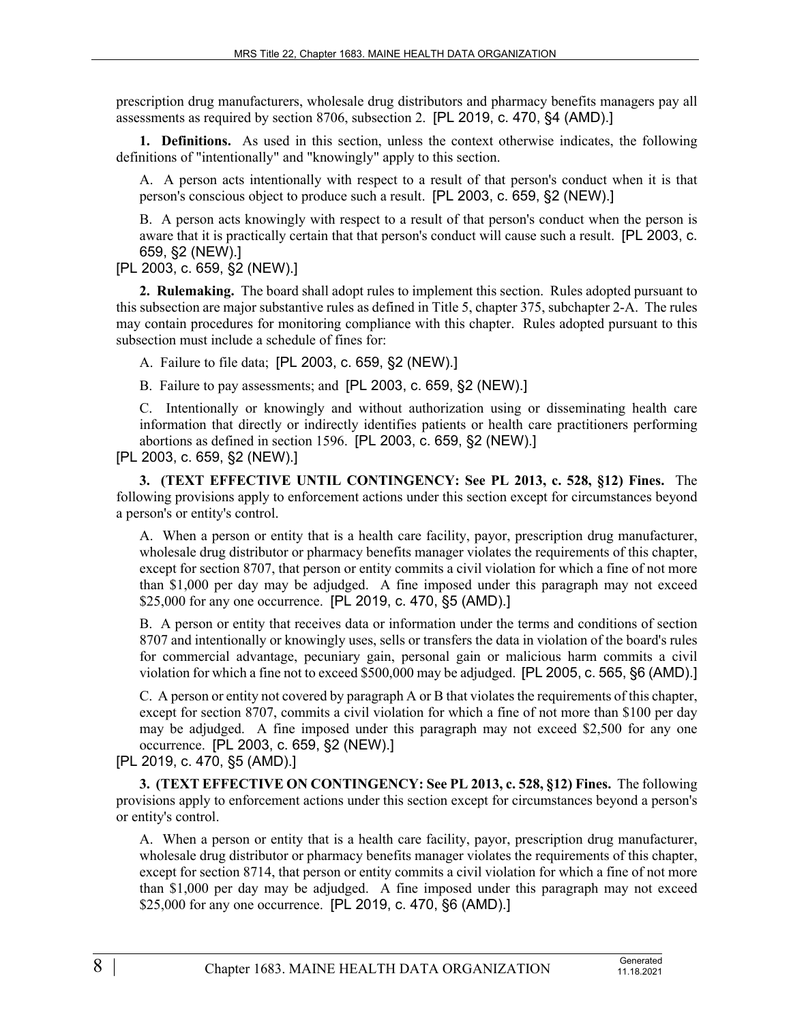prescription drug manufacturers, wholesale drug distributors and pharmacy benefits managers pay all assessments as required by section 8706, subsection 2. [PL 2019, c. 470, §4 (AMD).]

**1. Definitions.** As used in this section, unless the context otherwise indicates, the following definitions of "intentionally" and "knowingly" apply to this section.

A. A person acts intentionally with respect to a result of that person's conduct when it is that person's conscious object to produce such a result. [PL 2003, c. 659, §2 (NEW).]

B. A person acts knowingly with respect to a result of that person's conduct when the person is aware that it is practically certain that that person's conduct will cause such a result. [PL 2003, c. 659, §2 (NEW).]

### [PL 2003, c. 659, §2 (NEW).]

**2. Rulemaking.** The board shall adopt rules to implement this section. Rules adopted pursuant to this subsection are major substantive rules as defined in Title 5, chapter 375, subchapter 2-A. The rules may contain procedures for monitoring compliance with this chapter. Rules adopted pursuant to this subsection must include a schedule of fines for:

A. Failure to file data; [PL 2003, c. 659, §2 (NEW).]

B. Failure to pay assessments; and [PL 2003, c. 659, §2 (NEW).]

C. Intentionally or knowingly and without authorization using or disseminating health care information that directly or indirectly identifies patients or health care practitioners performing abortions as defined in section 1596. [PL 2003, c. 659, §2 (NEW).]

[PL 2003, c. 659, §2 (NEW).]

**3. (TEXT EFFECTIVE UNTIL CONTINGENCY: See PL 2013, c. 528, §12) Fines.** The following provisions apply to enforcement actions under this section except for circumstances beyond a person's or entity's control.

A. When a person or entity that is a health care facility, payor, prescription drug manufacturer, wholesale drug distributor or pharmacy benefits manager violates the requirements of this chapter, except for section 8707, that person or entity commits a civil violation for which a fine of not more than \$1,000 per day may be adjudged. A fine imposed under this paragraph may not exceed \$25,000 for any one occurrence. [PL 2019, c. 470, §5 (AMD).]

B. A person or entity that receives data or information under the terms and conditions of section 8707 and intentionally or knowingly uses, sells or transfers the data in violation of the board's rules for commercial advantage, pecuniary gain, personal gain or malicious harm commits a civil violation for which a fine not to exceed \$500,000 may be adjudged. [PL 2005, c. 565, §6 (AMD).]

C. A person or entity not covered by paragraph A or B that violates the requirements of this chapter, except for section 8707, commits a civil violation for which a fine of not more than \$100 per day may be adjudged. A fine imposed under this paragraph may not exceed \$2,500 for any one occurrence. [PL 2003, c. 659, §2 (NEW).]

[PL 2019, c. 470, §5 (AMD).]

**3. (TEXT EFFECTIVE ON CONTINGENCY: See PL 2013, c. 528, §12) Fines.** The following provisions apply to enforcement actions under this section except for circumstances beyond a person's or entity's control.

A. When a person or entity that is a health care facility, payor, prescription drug manufacturer, wholesale drug distributor or pharmacy benefits manager violates the requirements of this chapter, except for section 8714, that person or entity commits a civil violation for which a fine of not more than \$1,000 per day may be adjudged. A fine imposed under this paragraph may not exceed \$25,000 for any one occurrence. [PL 2019, c. 470, §6 (AMD).]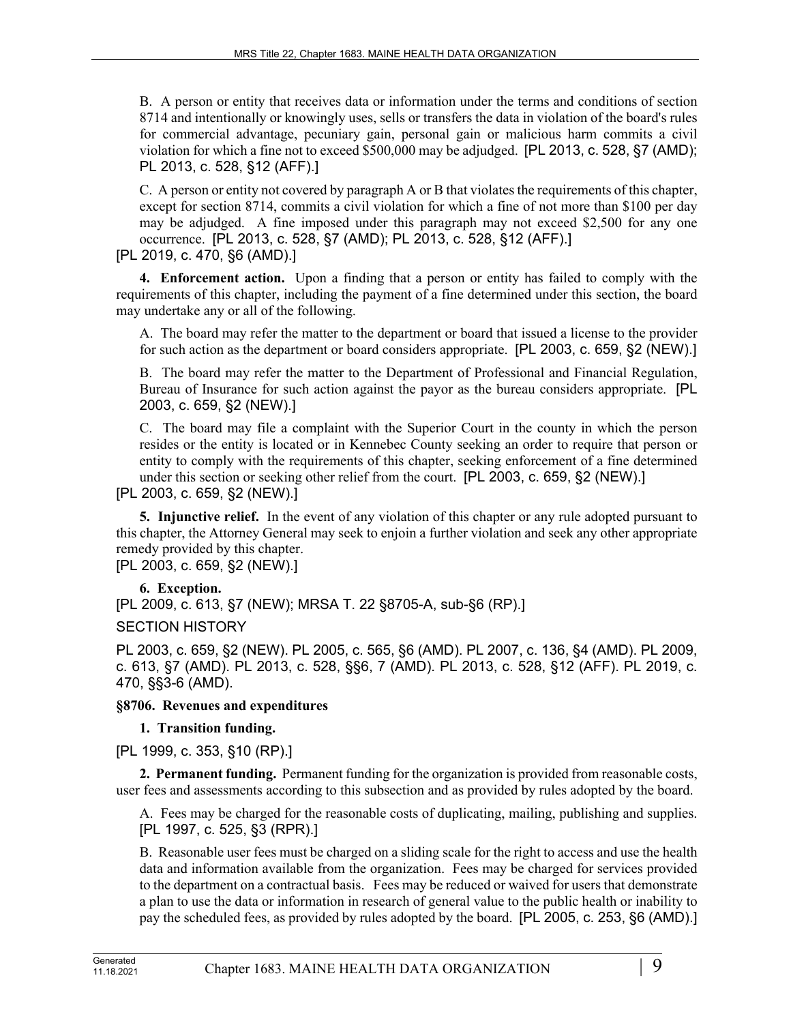B. A person or entity that receives data or information under the terms and conditions of section 8714 and intentionally or knowingly uses, sells or transfers the data in violation of the board's rules for commercial advantage, pecuniary gain, personal gain or malicious harm commits a civil violation for which a fine not to exceed \$500,000 may be adjudged. [PL 2013, c. 528, §7 (AMD); PL 2013, c. 528, §12 (AFF).]

C. A person or entity not covered by paragraph A or B that violates the requirements of this chapter, except for section 8714, commits a civil violation for which a fine of not more than \$100 per day may be adjudged. A fine imposed under this paragraph may not exceed \$2,500 for any one occurrence. [PL 2013, c. 528, §7 (AMD); PL 2013, c. 528, §12 (AFF).]

[PL 2019, c. 470, §6 (AMD).]

**4. Enforcement action.** Upon a finding that a person or entity has failed to comply with the requirements of this chapter, including the payment of a fine determined under this section, the board may undertake any or all of the following.

A. The board may refer the matter to the department or board that issued a license to the provider for such action as the department or board considers appropriate. [PL 2003, c. 659, §2 (NEW).]

B. The board may refer the matter to the Department of Professional and Financial Regulation, Bureau of Insurance for such action against the payor as the bureau considers appropriate. [PL 2003, c. 659, §2 (NEW).]

C. The board may file a complaint with the Superior Court in the county in which the person resides or the entity is located or in Kennebec County seeking an order to require that person or entity to comply with the requirements of this chapter, seeking enforcement of a fine determined under this section or seeking other relief from the court. [PL 2003, c. 659, §2 (NEW).]

[PL 2003, c. 659, §2 (NEW).]

**5. Injunctive relief.** In the event of any violation of this chapter or any rule adopted pursuant to this chapter, the Attorney General may seek to enjoin a further violation and seek any other appropriate remedy provided by this chapter.

[PL 2003, c. 659, §2 (NEW).]

### **6. Exception.**

[PL 2009, c. 613, §7 (NEW); MRSA T. 22 §8705-A, sub-§6 (RP).]

SECTION HISTORY

PL 2003, c. 659, §2 (NEW). PL 2005, c. 565, §6 (AMD). PL 2007, c. 136, §4 (AMD). PL 2009, c. 613, §7 (AMD). PL 2013, c. 528, §§6, 7 (AMD). PL 2013, c. 528, §12 (AFF). PL 2019, c. 470, §§3-6 (AMD).

### **§8706. Revenues and expenditures**

# **1. Transition funding.**

[PL 1999, c. 353, §10 (RP).]

**2. Permanent funding.** Permanent funding for the organization is provided from reasonable costs, user fees and assessments according to this subsection and as provided by rules adopted by the board.

A. Fees may be charged for the reasonable costs of duplicating, mailing, publishing and supplies. [PL 1997, c. 525, §3 (RPR).]

B. Reasonable user fees must be charged on a sliding scale for the right to access and use the health data and information available from the organization. Fees may be charged for services provided to the department on a contractual basis. Fees may be reduced or waived for users that demonstrate a plan to use the data or information in research of general value to the public health or inability to pay the scheduled fees, as provided by rules adopted by the board. [PL 2005, c. 253, §6 (AMD).]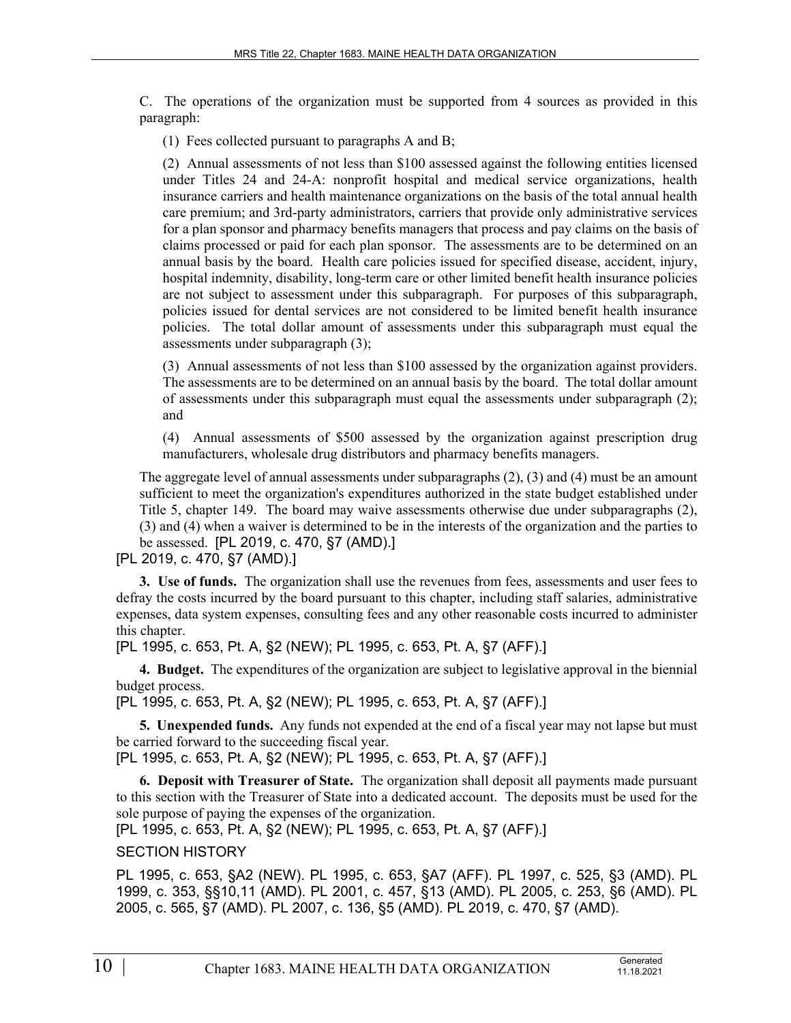C. The operations of the organization must be supported from 4 sources as provided in this paragraph:

(1) Fees collected pursuant to paragraphs A and B;

(2) Annual assessments of not less than \$100 assessed against the following entities licensed under Titles 24 and 24-A: nonprofit hospital and medical service organizations, health insurance carriers and health maintenance organizations on the basis of the total annual health care premium; and 3rd-party administrators, carriers that provide only administrative services for a plan sponsor and pharmacy benefits managers that process and pay claims on the basis of claims processed or paid for each plan sponsor. The assessments are to be determined on an annual basis by the board. Health care policies issued for specified disease, accident, injury, hospital indemnity, disability, long-term care or other limited benefit health insurance policies are not subject to assessment under this subparagraph. For purposes of this subparagraph, policies issued for dental services are not considered to be limited benefit health insurance policies. The total dollar amount of assessments under this subparagraph must equal the assessments under subparagraph (3);

(3) Annual assessments of not less than \$100 assessed by the organization against providers. The assessments are to be determined on an annual basis by the board. The total dollar amount of assessments under this subparagraph must equal the assessments under subparagraph (2); and

(4) Annual assessments of \$500 assessed by the organization against prescription drug manufacturers, wholesale drug distributors and pharmacy benefits managers.

The aggregate level of annual assessments under subparagraphs (2), (3) and (4) must be an amount sufficient to meet the organization's expenditures authorized in the state budget established under Title 5, chapter 149. The board may waive assessments otherwise due under subparagraphs (2), (3) and (4) when a waiver is determined to be in the interests of the organization and the parties to be assessed. [PL 2019, c. 470, §7 (AMD).]

[PL 2019, c. 470, §7 (AMD).]

**3. Use of funds.** The organization shall use the revenues from fees, assessments and user fees to defray the costs incurred by the board pursuant to this chapter, including staff salaries, administrative expenses, data system expenses, consulting fees and any other reasonable costs incurred to administer this chapter.

[PL 1995, c. 653, Pt. A, §2 (NEW); PL 1995, c. 653, Pt. A, §7 (AFF).]

**4. Budget.** The expenditures of the organization are subject to legislative approval in the biennial budget process.

[PL 1995, c. 653, Pt. A, §2 (NEW); PL 1995, c. 653, Pt. A, §7 (AFF).]

**5. Unexpended funds.** Any funds not expended at the end of a fiscal year may not lapse but must be carried forward to the succeeding fiscal year.

[PL 1995, c. 653, Pt. A, §2 (NEW); PL 1995, c. 653, Pt. A, §7 (AFF).]

**6. Deposit with Treasurer of State.** The organization shall deposit all payments made pursuant to this section with the Treasurer of State into a dedicated account. The deposits must be used for the sole purpose of paying the expenses of the organization.

[PL 1995, c. 653, Pt. A, §2 (NEW); PL 1995, c. 653, Pt. A, §7 (AFF).]

# SECTION HISTORY

PL 1995, c. 653, §A2 (NEW). PL 1995, c. 653, §A7 (AFF). PL 1997, c. 525, §3 (AMD). PL 1999, c. 353, §§10,11 (AMD). PL 2001, c. 457, §13 (AMD). PL 2005, c. 253, §6 (AMD). PL 2005, c. 565, §7 (AMD). PL 2007, c. 136, §5 (AMD). PL 2019, c. 470, §7 (AMD).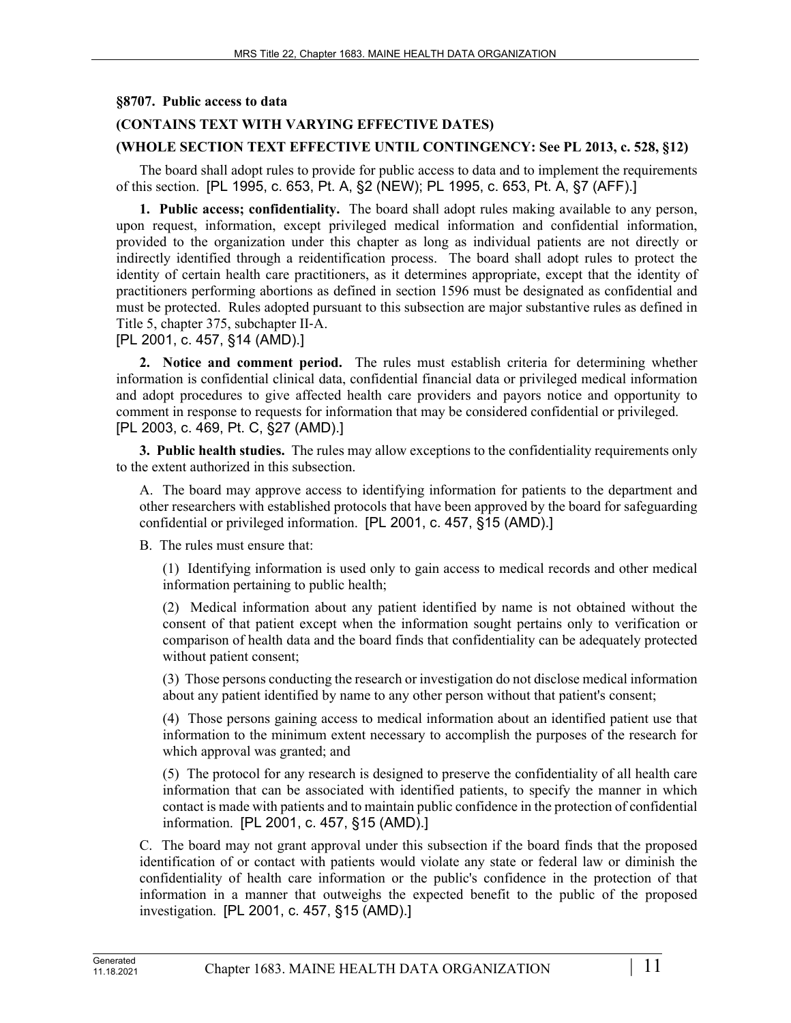### **§8707. Public access to data**

# **(CONTAINS TEXT WITH VARYING EFFECTIVE DATES)**

### **(WHOLE SECTION TEXT EFFECTIVE UNTIL CONTINGENCY: See PL 2013, c. 528, §12)**

The board shall adopt rules to provide for public access to data and to implement the requirements of this section. [PL 1995, c. 653, Pt. A, §2 (NEW); PL 1995, c. 653, Pt. A, §7 (AFF).]

**1. Public access; confidentiality.** The board shall adopt rules making available to any person, upon request, information, except privileged medical information and confidential information, provided to the organization under this chapter as long as individual patients are not directly or indirectly identified through a reidentification process. The board shall adopt rules to protect the identity of certain health care practitioners, as it determines appropriate, except that the identity of practitioners performing abortions as defined in section 1596 must be designated as confidential and must be protected. Rules adopted pursuant to this subsection are major substantive rules as defined in Title 5, chapter 375, subchapter II‑A.

[PL 2001, c. 457, §14 (AMD).]

**2. Notice and comment period.** The rules must establish criteria for determining whether information is confidential clinical data, confidential financial data or privileged medical information and adopt procedures to give affected health care providers and payors notice and opportunity to comment in response to requests for information that may be considered confidential or privileged. [PL 2003, c. 469, Pt. C, §27 (AMD).]

**3. Public health studies.** The rules may allow exceptions to the confidentiality requirements only to the extent authorized in this subsection.

A. The board may approve access to identifying information for patients to the department and other researchers with established protocols that have been approved by the board for safeguarding confidential or privileged information. [PL 2001, c. 457, §15 (AMD).]

B. The rules must ensure that:

(1) Identifying information is used only to gain access to medical records and other medical information pertaining to public health;

(2) Medical information about any patient identified by name is not obtained without the consent of that patient except when the information sought pertains only to verification or comparison of health data and the board finds that confidentiality can be adequately protected without patient consent;

(3) Those persons conducting the research or investigation do not disclose medical information about any patient identified by name to any other person without that patient's consent;

(4) Those persons gaining access to medical information about an identified patient use that information to the minimum extent necessary to accomplish the purposes of the research for which approval was granted; and

(5) The protocol for any research is designed to preserve the confidentiality of all health care information that can be associated with identified patients, to specify the manner in which contact is made with patients and to maintain public confidence in the protection of confidential information. [PL 2001, c. 457, §15 (AMD).]

C. The board may not grant approval under this subsection if the board finds that the proposed identification of or contact with patients would violate any state or federal law or diminish the confidentiality of health care information or the public's confidence in the protection of that information in a manner that outweighs the expected benefit to the public of the proposed investigation. [PL 2001, c. 457, §15 (AMD).]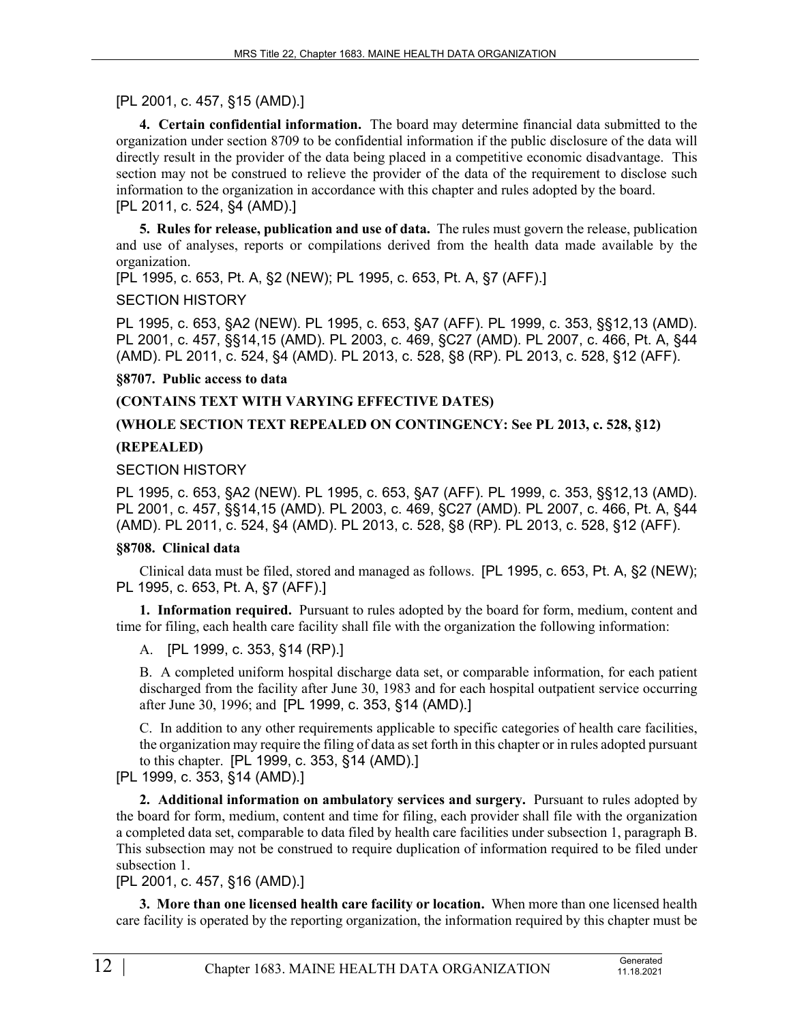# [PL 2001, c. 457, §15 (AMD).]

**4. Certain confidential information.** The board may determine financial data submitted to the organization under section 8709 to be confidential information if the public disclosure of the data will directly result in the provider of the data being placed in a competitive economic disadvantage. This section may not be construed to relieve the provider of the data of the requirement to disclose such information to the organization in accordance with this chapter and rules adopted by the board. [PL 2011, c. 524, §4 (AMD).]

**5. Rules for release, publication and use of data.** The rules must govern the release, publication and use of analyses, reports or compilations derived from the health data made available by the organization.

[PL 1995, c. 653, Pt. A, §2 (NEW); PL 1995, c. 653, Pt. A, §7 (AFF).]

#### SECTION HISTORY

PL 1995, c. 653, §A2 (NEW). PL 1995, c. 653, §A7 (AFF). PL 1999, c. 353, §§12,13 (AMD). PL 2001, c. 457, §§14,15 (AMD). PL 2003, c. 469, §C27 (AMD). PL 2007, c. 466, Pt. A, §44 (AMD). PL 2011, c. 524, §4 (AMD). PL 2013, c. 528, §8 (RP). PL 2013, c. 528, §12 (AFF).

#### **§8707. Public access to data**

### **(CONTAINS TEXT WITH VARYING EFFECTIVE DATES)**

### **(WHOLE SECTION TEXT REPEALED ON CONTINGENCY: See PL 2013, c. 528, §12)**

### **(REPEALED)**

#### SECTION HISTORY

PL 1995, c. 653, §A2 (NEW). PL 1995, c. 653, §A7 (AFF). PL 1999, c. 353, §§12,13 (AMD). PL 2001, c. 457, §§14,15 (AMD). PL 2003, c. 469, §C27 (AMD). PL 2007, c. 466, Pt. A, §44 (AMD). PL 2011, c. 524, §4 (AMD). PL 2013, c. 528, §8 (RP). PL 2013, c. 528, §12 (AFF).

### **§8708. Clinical data**

Clinical data must be filed, stored and managed as follows. [PL 1995, c. 653, Pt. A, §2 (NEW); PL 1995, c. 653, Pt. A, §7 (AFF).]

**1. Information required.** Pursuant to rules adopted by the board for form, medium, content and time for filing, each health care facility shall file with the organization the following information:

A. [PL 1999, c. 353, §14 (RP).]

B. A completed uniform hospital discharge data set, or comparable information, for each patient discharged from the facility after June 30, 1983 and for each hospital outpatient service occurring after June 30, 1996; and [PL 1999, c. 353, §14 (AMD).]

C. In addition to any other requirements applicable to specific categories of health care facilities, the organization may require the filing of data as set forth in this chapter or in rules adopted pursuant to this chapter. [PL 1999, c. 353, §14 (AMD).]

### [PL 1999, c. 353, §14 (AMD).]

**2. Additional information on ambulatory services and surgery.** Pursuant to rules adopted by the board for form, medium, content and time for filing, each provider shall file with the organization a completed data set, comparable to data filed by health care facilities under subsection 1, paragraph B. This subsection may not be construed to require duplication of information required to be filed under subsection 1.

# [PL 2001, c. 457, §16 (AMD).]

**3. More than one licensed health care facility or location.** When more than one licensed health care facility is operated by the reporting organization, the information required by this chapter must be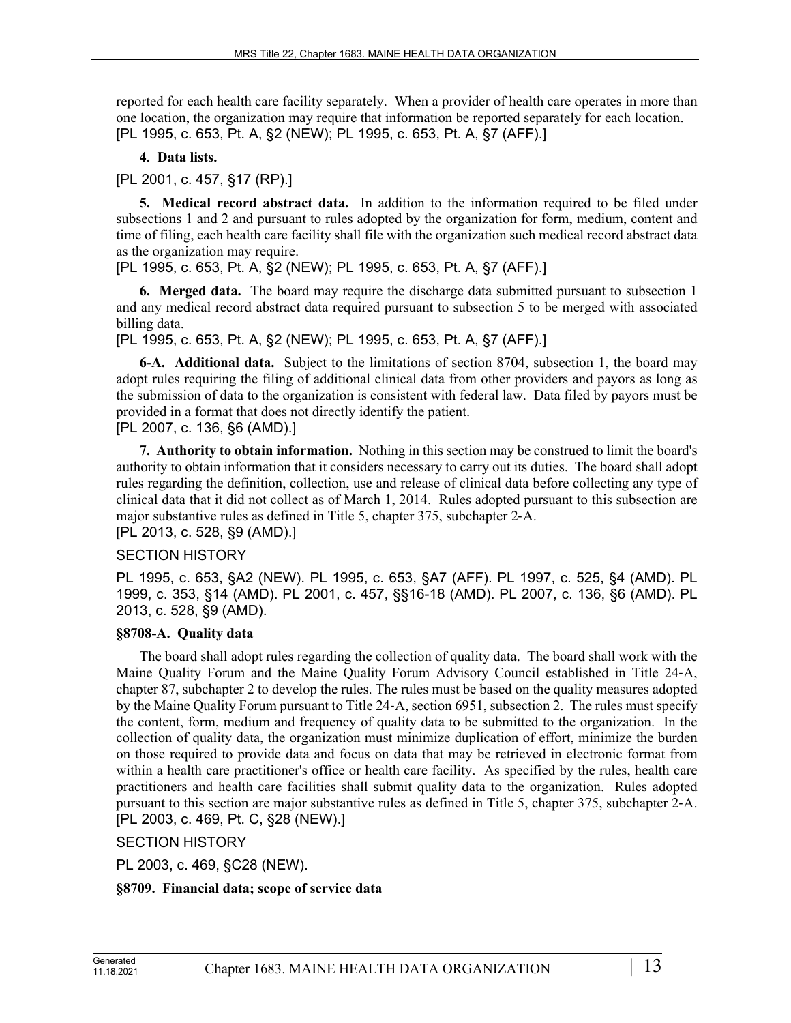reported for each health care facility separately. When a provider of health care operates in more than one location, the organization may require that information be reported separately for each location. [PL 1995, c. 653, Pt. A, §2 (NEW); PL 1995, c. 653, Pt. A, §7 (AFF).]

# **4. Data lists.**

[PL 2001, c. 457, §17 (RP).]

**5. Medical record abstract data.** In addition to the information required to be filed under subsections 1 and 2 and pursuant to rules adopted by the organization for form, medium, content and time of filing, each health care facility shall file with the organization such medical record abstract data as the organization may require.

[PL 1995, c. 653, Pt. A, §2 (NEW); PL 1995, c. 653, Pt. A, §7 (AFF).]

**6. Merged data.** The board may require the discharge data submitted pursuant to subsection 1 and any medical record abstract data required pursuant to subsection 5 to be merged with associated billing data.

[PL 1995, c. 653, Pt. A, §2 (NEW); PL 1995, c. 653, Pt. A, §7 (AFF).]

**6-A. Additional data.** Subject to the limitations of section 8704, subsection 1, the board may adopt rules requiring the filing of additional clinical data from other providers and payors as long as the submission of data to the organization is consistent with federal law. Data filed by payors must be provided in a format that does not directly identify the patient.

# [PL 2007, c. 136, §6 (AMD).]

**7. Authority to obtain information.** Nothing in this section may be construed to limit the board's authority to obtain information that it considers necessary to carry out its duties. The board shall adopt rules regarding the definition, collection, use and release of clinical data before collecting any type of clinical data that it did not collect as of March 1, 2014. Rules adopted pursuant to this subsection are major substantive rules as defined in Title 5, chapter 375, subchapter 2‑A.

[PL 2013, c. 528, §9 (AMD).]

# SECTION HISTORY

PL 1995, c. 653, §A2 (NEW). PL 1995, c. 653, §A7 (AFF). PL 1997, c. 525, §4 (AMD). PL 1999, c. 353, §14 (AMD). PL 2001, c. 457, §§16-18 (AMD). PL 2007, c. 136, §6 (AMD). PL 2013, c. 528, §9 (AMD).

# **§8708-A. Quality data**

The board shall adopt rules regarding the collection of quality data. The board shall work with the Maine Quality Forum and the Maine Quality Forum Advisory Council established in Title 24‑A, chapter 87, subchapter 2 to develop the rules. The rules must be based on the quality measures adopted by the Maine Quality Forum pursuant to Title 24‑A, section 6951, subsection 2. The rules must specify the content, form, medium and frequency of quality data to be submitted to the organization. In the collection of quality data, the organization must minimize duplication of effort, minimize the burden on those required to provide data and focus on data that may be retrieved in electronic format from within a health care practitioner's office or health care facility. As specified by the rules, health care practitioners and health care facilities shall submit quality data to the organization. Rules adopted pursuant to this section are major substantive rules as defined in Title 5, chapter 375, subchapter 2‑A. [PL 2003, c. 469, Pt. C, §28 (NEW).]

SECTION HISTORY

PL 2003, c. 469, §C28 (NEW).

# **§8709. Financial data; scope of service data**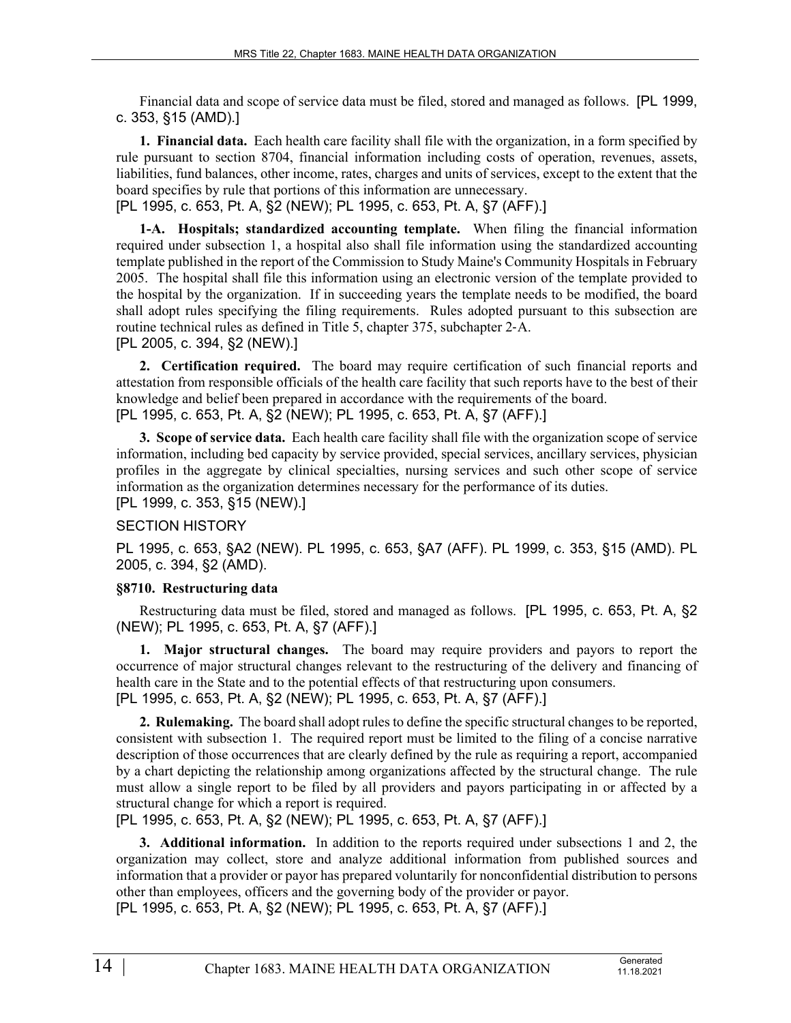Financial data and scope of service data must be filed, stored and managed as follows. [PL 1999, c. 353, §15 (AMD).]

**1. Financial data.** Each health care facility shall file with the organization, in a form specified by rule pursuant to section 8704, financial information including costs of operation, revenues, assets, liabilities, fund balances, other income, rates, charges and units of services, except to the extent that the board specifies by rule that portions of this information are unnecessary.

[PL 1995, c. 653, Pt. A, §2 (NEW); PL 1995, c. 653, Pt. A, §7 (AFF).]

**1-A. Hospitals; standardized accounting template.** When filing the financial information required under subsection 1, a hospital also shall file information using the standardized accounting template published in the report of the Commission to Study Maine's Community Hospitals in February 2005. The hospital shall file this information using an electronic version of the template provided to the hospital by the organization. If in succeeding years the template needs to be modified, the board shall adopt rules specifying the filing requirements. Rules adopted pursuant to this subsection are routine technical rules as defined in Title 5, chapter 375, subchapter 2‑A. [PL 2005, c. 394, §2 (NEW).]

**2. Certification required.** The board may require certification of such financial reports and attestation from responsible officials of the health care facility that such reports have to the best of their knowledge and belief been prepared in accordance with the requirements of the board. [PL 1995, c. 653, Pt. A, §2 (NEW); PL 1995, c. 653, Pt. A, §7 (AFF).]

**3. Scope of service data.** Each health care facility shall file with the organization scope of service information, including bed capacity by service provided, special services, ancillary services, physician profiles in the aggregate by clinical specialties, nursing services and such other scope of service information as the organization determines necessary for the performance of its duties. [PL 1999, c. 353, §15 (NEW).]

# SECTION HISTORY

PL 1995, c. 653, §A2 (NEW). PL 1995, c. 653, §A7 (AFF). PL 1999, c. 353, §15 (AMD). PL 2005, c. 394, §2 (AMD).

# **§8710. Restructuring data**

Restructuring data must be filed, stored and managed as follows. [PL 1995, c. 653, Pt. A, §2 (NEW); PL 1995, c. 653, Pt. A, §7 (AFF).]

**1. Major structural changes.** The board may require providers and payors to report the occurrence of major structural changes relevant to the restructuring of the delivery and financing of health care in the State and to the potential effects of that restructuring upon consumers. [PL 1995, c. 653, Pt. A, §2 (NEW); PL 1995, c. 653, Pt. A, §7 (AFF).]

**2. Rulemaking.** The board shall adopt rules to define the specific structural changes to be reported, consistent with subsection 1. The required report must be limited to the filing of a concise narrative description of those occurrences that are clearly defined by the rule as requiring a report, accompanied by a chart depicting the relationship among organizations affected by the structural change. The rule must allow a single report to be filed by all providers and payors participating in or affected by a structural change for which a report is required.

[PL 1995, c. 653, Pt. A, §2 (NEW); PL 1995, c. 653, Pt. A, §7 (AFF).]

**3. Additional information.** In addition to the reports required under subsections 1 and 2, the organization may collect, store and analyze additional information from published sources and information that a provider or payor has prepared voluntarily for nonconfidential distribution to persons other than employees, officers and the governing body of the provider or payor. [PL 1995, c. 653, Pt. A, §2 (NEW); PL 1995, c. 653, Pt. A, §7 (AFF).]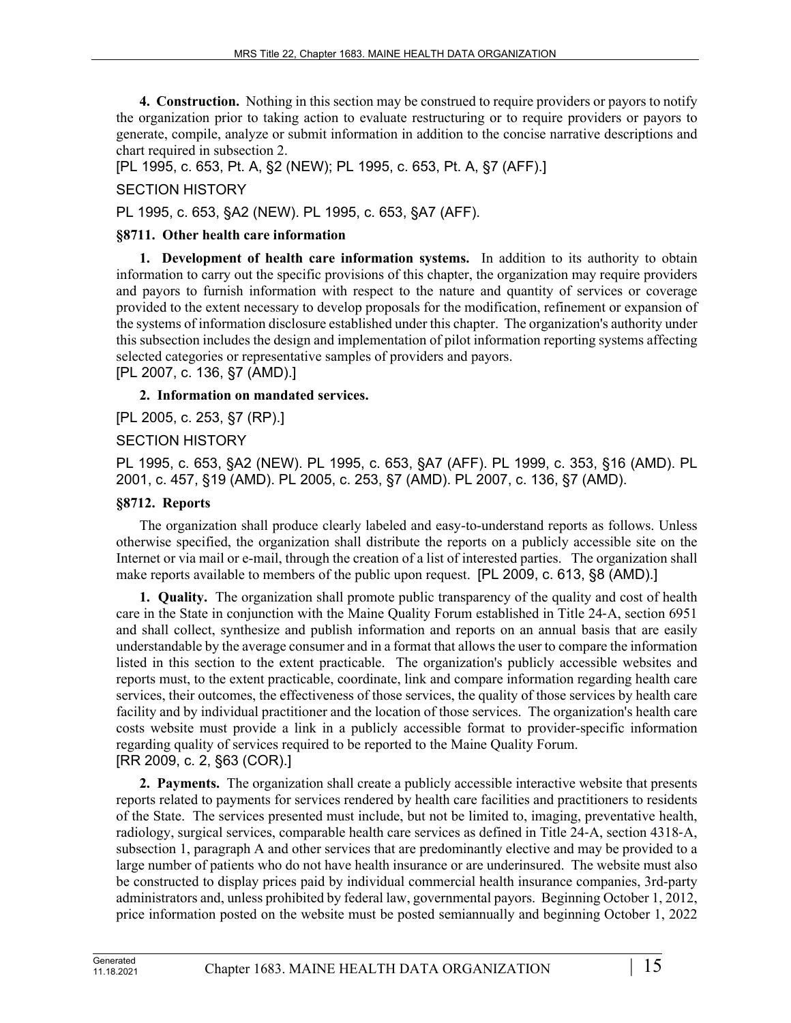**4. Construction.** Nothing in this section may be construed to require providers or payors to notify the organization prior to taking action to evaluate restructuring or to require providers or payors to generate, compile, analyze or submit information in addition to the concise narrative descriptions and chart required in subsection 2.

[PL 1995, c. 653, Pt. A, §2 (NEW); PL 1995, c. 653, Pt. A, §7 (AFF).]

# SECTION HISTORY

PL 1995, c. 653, §A2 (NEW). PL 1995, c. 653, §A7 (AFF).

# **§8711. Other health care information**

**1. Development of health care information systems.** In addition to its authority to obtain information to carry out the specific provisions of this chapter, the organization may require providers and payors to furnish information with respect to the nature and quantity of services or coverage provided to the extent necessary to develop proposals for the modification, refinement or expansion of the systems of information disclosure established under this chapter. The organization's authority under this subsection includes the design and implementation of pilot information reporting systems affecting selected categories or representative samples of providers and payors.

[PL 2007, c. 136, §7 (AMD).]

**2. Information on mandated services.** 

[PL 2005, c. 253, §7 (RP).]

# SECTION HISTORY

PL 1995, c. 653, §A2 (NEW). PL 1995, c. 653, §A7 (AFF). PL 1999, c. 353, §16 (AMD). PL 2001, c. 457, §19 (AMD). PL 2005, c. 253, §7 (AMD). PL 2007, c. 136, §7 (AMD).

# **§8712. Reports**

The organization shall produce clearly labeled and easy-to-understand reports as follows. Unless otherwise specified, the organization shall distribute the reports on a publicly accessible site on the Internet or via mail or e-mail, through the creation of a list of interested parties. The organization shall make reports available to members of the public upon request. [PL 2009, c. 613, §8 (AMD).]

**1. Quality.** The organization shall promote public transparency of the quality and cost of health care in the State in conjunction with the Maine Quality Forum established in Title 24‑A, section 6951 and shall collect, synthesize and publish information and reports on an annual basis that are easily understandable by the average consumer and in a format that allows the user to compare the information listed in this section to the extent practicable. The organization's publicly accessible websites and reports must, to the extent practicable, coordinate, link and compare information regarding health care services, their outcomes, the effectiveness of those services, the quality of those services by health care facility and by individual practitioner and the location of those services. The organization's health care costs website must provide a link in a publicly accessible format to provider-specific information regarding quality of services required to be reported to the Maine Quality Forum. [RR 2009, c. 2, §63 (COR).]

**2. Payments.** The organization shall create a publicly accessible interactive website that presents reports related to payments for services rendered by health care facilities and practitioners to residents of the State. The services presented must include, but not be limited to, imaging, preventative health, radiology, surgical services, comparable health care services as defined in Title 24‑A, section 4318‑A, subsection 1, paragraph A and other services that are predominantly elective and may be provided to a large number of patients who do not have health insurance or are underinsured. The website must also be constructed to display prices paid by individual commercial health insurance companies, 3rd-party administrators and, unless prohibited by federal law, governmental payors. Beginning October 1, 2012, price information posted on the website must be posted semiannually and beginning October 1, 2022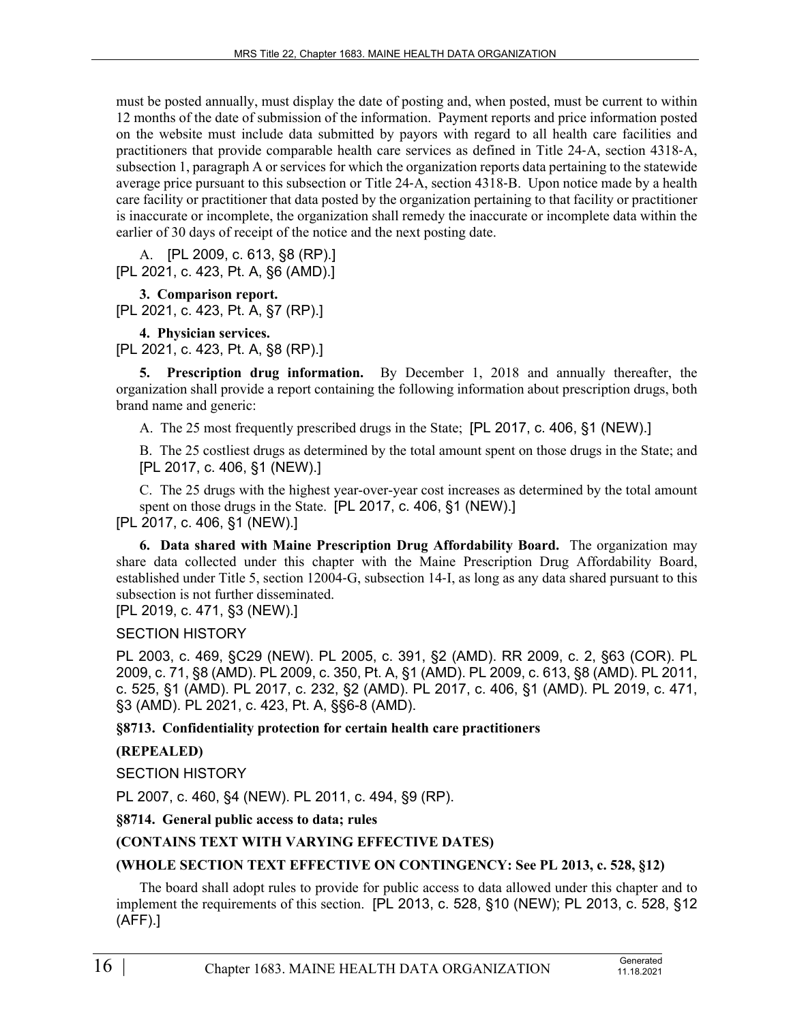must be posted annually, must display the date of posting and, when posted, must be current to within 12 months of the date of submission of the information. Payment reports and price information posted on the website must include data submitted by payors with regard to all health care facilities and practitioners that provide comparable health care services as defined in Title 24‑A, section 4318‑A, subsection 1, paragraph A or services for which the organization reports data pertaining to the statewide average price pursuant to this subsection or Title 24‑A, section 4318‑B. Upon notice made by a health care facility or practitioner that data posted by the organization pertaining to that facility or practitioner is inaccurate or incomplete, the organization shall remedy the inaccurate or incomplete data within the earlier of 30 days of receipt of the notice and the next posting date.

A. [PL 2009, c. 613, §8 (RP).] [PL 2021, c. 423, Pt. A, §6 (AMD).]

**3. Comparison report.**  [PL 2021, c. 423, Pt. A, §7 (RP).]

**4. Physician services.** 

[PL 2021, c. 423, Pt. A, §8 (RP).]

**5. Prescription drug information.** By December 1, 2018 and annually thereafter, the organization shall provide a report containing the following information about prescription drugs, both brand name and generic:

A. The 25 most frequently prescribed drugs in the State; [PL 2017, c. 406, §1 (NEW).]

B. The 25 costliest drugs as determined by the total amount spent on those drugs in the State; and [PL 2017, c. 406, §1 (NEW).]

C. The 25 drugs with the highest year-over-year cost increases as determined by the total amount spent on those drugs in the State. [PL 2017, c. 406, §1 (NEW).] [PL 2017, c. 406, §1 (NEW).]

**6. Data shared with Maine Prescription Drug Affordability Board.** The organization may share data collected under this chapter with the Maine Prescription Drug Affordability Board, established under Title 5, section 12004‑G, subsection 14‑I, as long as any data shared pursuant to this subsection is not further disseminated.

[PL 2019, c. 471, §3 (NEW).]

SECTION HISTORY

PL 2003, c. 469, §C29 (NEW). PL 2005, c. 391, §2 (AMD). RR 2009, c. 2, §63 (COR). PL 2009, c. 71, §8 (AMD). PL 2009, c. 350, Pt. A, §1 (AMD). PL 2009, c. 613, §8 (AMD). PL 2011, c. 525, §1 (AMD). PL 2017, c. 232, §2 (AMD). PL 2017, c. 406, §1 (AMD). PL 2019, c. 471, §3 (AMD). PL 2021, c. 423, Pt. A, §§6-8 (AMD).

**§8713. Confidentiality protection for certain health care practitioners**

# **(REPEALED)**

SECTION HISTORY

PL 2007, c. 460, §4 (NEW). PL 2011, c. 494, §9 (RP).

# **§8714. General public access to data; rules**

# **(CONTAINS TEXT WITH VARYING EFFECTIVE DATES)**

# **(WHOLE SECTION TEXT EFFECTIVE ON CONTINGENCY: See PL 2013, c. 528, §12)**

The board shall adopt rules to provide for public access to data allowed under this chapter and to implement the requirements of this section. [PL 2013, c. 528, §10 (NEW); PL 2013, c. 528, §12 (AFF).]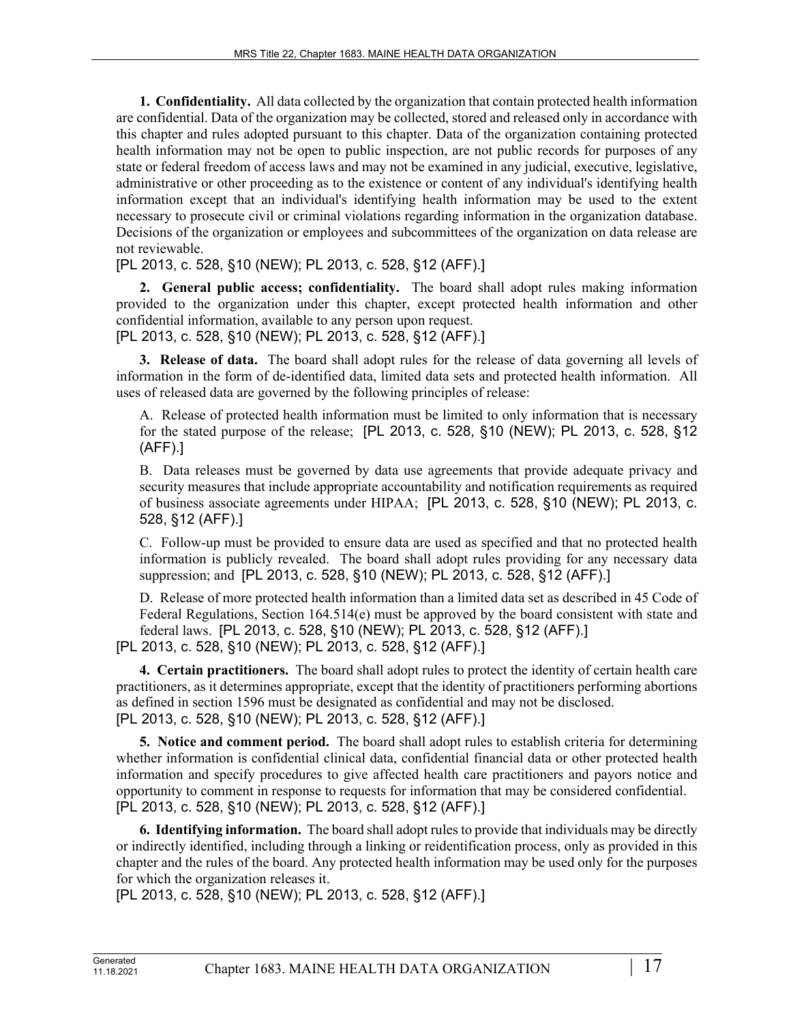**1. Confidentiality.** All data collected by the organization that contain protected health information are confidential. Data of the organization may be collected, stored and released only in accordance with this chapter and rules adopted pursuant to this chapter. Data of the organization containing protected health information may not be open to public inspection, are not public records for purposes of any state or federal freedom of access laws and may not be examined in any judicial, executive, legislative, administrative or other proceeding as to the existence or content of any individual's identifying health information except that an individual's identifying health information may be used to the extent necessary to prosecute civil or criminal violations regarding information in the organization database. Decisions of the organization or employees and subcommittees of the organization on data release are not reviewable.

[PL 2013, c. 528, §10 (NEW); PL 2013, c. 528, §12 (AFF).]

**2. General public access; confidentiality.** The board shall adopt rules making information provided to the organization under this chapter, except protected health information and other confidential information, available to any person upon request.

[PL 2013, c. 528, §10 (NEW); PL 2013, c. 528, §12 (AFF).]

**3. Release of data.** The board shall adopt rules for the release of data governing all levels of information in the form of de-identified data, limited data sets and protected health information. All uses of released data are governed by the following principles of release:

A. Release of protected health information must be limited to only information that is necessary for the stated purpose of the release; [PL 2013, c. 528, §10 (NEW); PL 2013, c. 528, §12 (AFF).]

B. Data releases must be governed by data use agreements that provide adequate privacy and security measures that include appropriate accountability and notification requirements as required of business associate agreements under HIPAA; [PL 2013, c. 528, §10 (NEW); PL 2013, c. 528, §12 (AFF).]

C. Follow-up must be provided to ensure data are used as specified and that no protected health information is publicly revealed. The board shall adopt rules providing for any necessary data suppression; and [PL 2013, c. 528, §10 (NEW); PL 2013, c. 528, §12 (AFF).]

D. Release of more protected health information than a limited data set as described in 45 Code of Federal Regulations, Section 164.514(e) must be approved by the board consistent with state and federal laws. [PL 2013, c. 528, §10 (NEW); PL 2013, c. 528, §12 (AFF).] [PL 2013, c. 528, §10 (NEW); PL 2013, c. 528, §12 (AFF).]

**4. Certain practitioners.** The board shall adopt rules to protect the identity of certain health care practitioners, as it determines appropriate, except that the identity of practitioners performing abortions as defined in section 1596 must be designated as confidential and may not be disclosed. [PL 2013, c. 528, §10 (NEW); PL 2013, c. 528, §12 (AFF).]

**5. Notice and comment period.** The board shall adopt rules to establish criteria for determining whether information is confidential clinical data, confidential financial data or other protected health information and specify procedures to give affected health care practitioners and payors notice and opportunity to comment in response to requests for information that may be considered confidential. [PL 2013, c. 528, §10 (NEW); PL 2013, c. 528, §12 (AFF).]

**6. Identifying information.** The board shall adopt rules to provide that individuals may be directly or indirectly identified, including through a linking or reidentification process, only as provided in this chapter and the rules of the board. Any protected health information may be used only for the purposes for which the organization releases it.

[PL 2013, c. 528, §10 (NEW); PL 2013, c. 528, §12 (AFF).]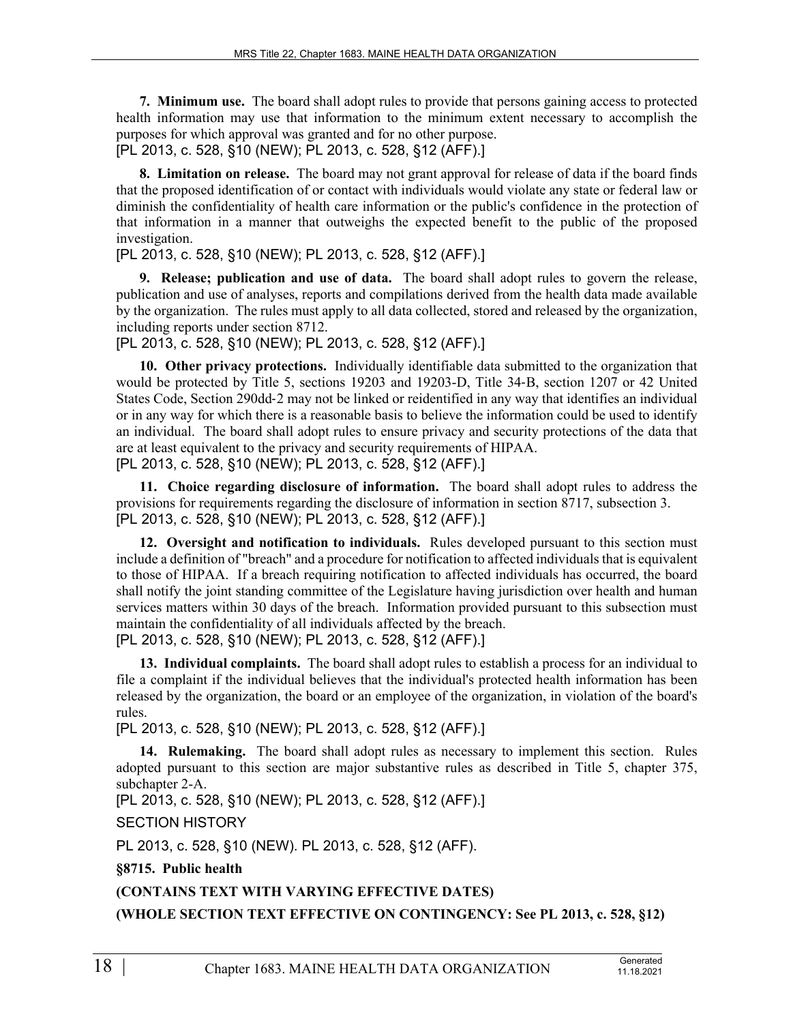**7. Minimum use.** The board shall adopt rules to provide that persons gaining access to protected health information may use that information to the minimum extent necessary to accomplish the purposes for which approval was granted and for no other purpose.

[PL 2013, c. 528, §10 (NEW); PL 2013, c. 528, §12 (AFF).]

**8. Limitation on release.** The board may not grant approval for release of data if the board finds that the proposed identification of or contact with individuals would violate any state or federal law or diminish the confidentiality of health care information or the public's confidence in the protection of that information in a manner that outweighs the expected benefit to the public of the proposed investigation.

[PL 2013, c. 528, §10 (NEW); PL 2013, c. 528, §12 (AFF).]

**9. Release; publication and use of data.** The board shall adopt rules to govern the release, publication and use of analyses, reports and compilations derived from the health data made available by the organization. The rules must apply to all data collected, stored and released by the organization, including reports under section 8712.

[PL 2013, c. 528, §10 (NEW); PL 2013, c. 528, §12 (AFF).]

**10. Other privacy protections.** Individually identifiable data submitted to the organization that would be protected by Title 5, sections 19203 and 19203-D, Title 34-B, section 1207 or 42 United States Code, Section 290dd-2 may not be linked or reidentified in any way that identifies an individual or in any way for which there is a reasonable basis to believe the information could be used to identify an individual. The board shall adopt rules to ensure privacy and security protections of the data that are at least equivalent to the privacy and security requirements of HIPAA. [PL 2013, c. 528, §10 (NEW); PL 2013, c. 528, §12 (AFF).]

**11. Choice regarding disclosure of information.** The board shall adopt rules to address the

provisions for requirements regarding the disclosure of information in section 8717, subsection 3. [PL 2013, c. 528, §10 (NEW); PL 2013, c. 528, §12 (AFF).]

**12. Oversight and notification to individuals.** Rules developed pursuant to this section must include a definition of "breach" and a procedure for notification to affected individuals that is equivalent to those of HIPAA. If a breach requiring notification to affected individuals has occurred, the board shall notify the joint standing committee of the Legislature having jurisdiction over health and human services matters within 30 days of the breach. Information provided pursuant to this subsection must maintain the confidentiality of all individuals affected by the breach.

[PL 2013, c. 528, §10 (NEW); PL 2013, c. 528, §12 (AFF).]

**13. Individual complaints.** The board shall adopt rules to establish a process for an individual to file a complaint if the individual believes that the individual's protected health information has been released by the organization, the board or an employee of the organization, in violation of the board's rules.

[PL 2013, c. 528, §10 (NEW); PL 2013, c. 528, §12 (AFF).]

**14. Rulemaking.** The board shall adopt rules as necessary to implement this section. Rules adopted pursuant to this section are major substantive rules as described in Title 5, chapter 375, subchapter 2-A.

[PL 2013, c. 528, §10 (NEW); PL 2013, c. 528, §12 (AFF).]

SECTION HISTORY

PL 2013, c. 528, §10 (NEW). PL 2013, c. 528, §12 (AFF).

**§8715. Public health**

**(CONTAINS TEXT WITH VARYING EFFECTIVE DATES)**

**(WHOLE SECTION TEXT EFFECTIVE ON CONTINGENCY: See PL 2013, c. 528, §12)**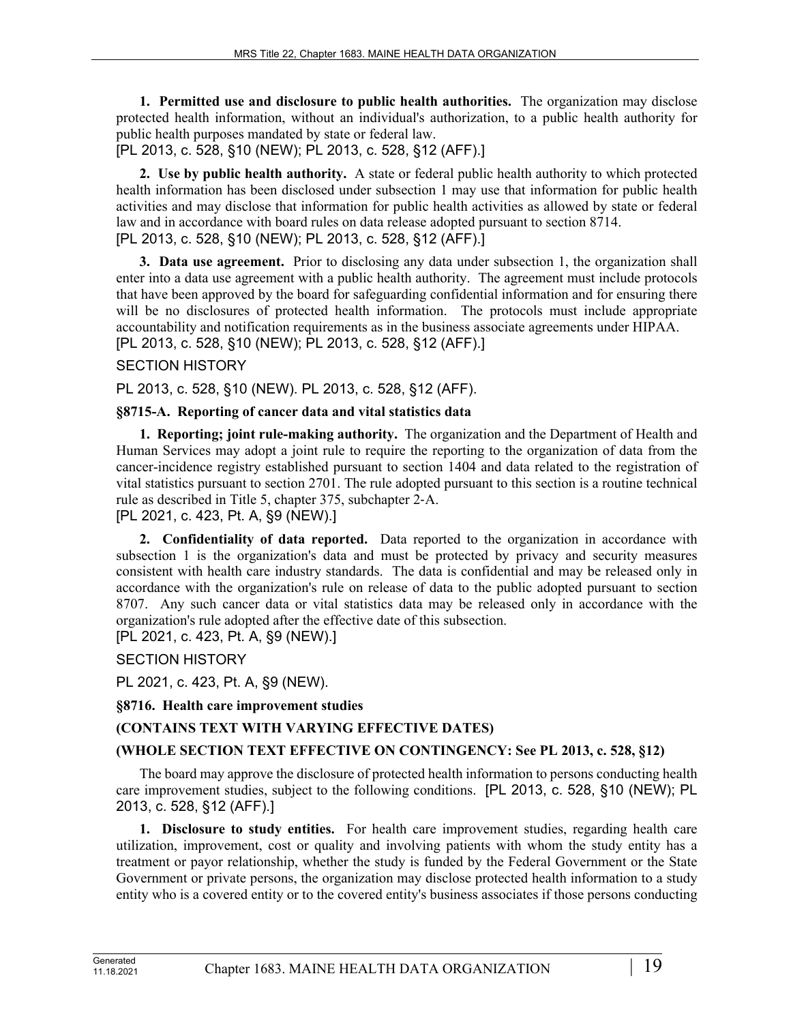**1. Permitted use and disclosure to public health authorities.** The organization may disclose protected health information, without an individual's authorization, to a public health authority for public health purposes mandated by state or federal law.

[PL 2013, c. 528, §10 (NEW); PL 2013, c. 528, §12 (AFF).]

**2. Use by public health authority.** A state or federal public health authority to which protected health information has been disclosed under subsection 1 may use that information for public health activities and may disclose that information for public health activities as allowed by state or federal law and in accordance with board rules on data release adopted pursuant to section 8714. [PL 2013, c. 528, §10 (NEW); PL 2013, c. 528, §12 (AFF).]

**3. Data use agreement.** Prior to disclosing any data under subsection 1, the organization shall enter into a data use agreement with a public health authority. The agreement must include protocols that have been approved by the board for safeguarding confidential information and for ensuring there will be no disclosures of protected health information. The protocols must include appropriate accountability and notification requirements as in the business associate agreements under HIPAA. [PL 2013, c. 528, §10 (NEW); PL 2013, c. 528, §12 (AFF).]

# SECTION HISTORY

PL 2013, c. 528, §10 (NEW). PL 2013, c. 528, §12 (AFF).

### **§8715-A. Reporting of cancer data and vital statistics data**

**1. Reporting; joint rule-making authority.** The organization and the Department of Health and Human Services may adopt a joint rule to require the reporting to the organization of data from the cancer-incidence registry established pursuant to section 1404 and data related to the registration of vital statistics pursuant to section 2701. The rule adopted pursuant to this section is a routine technical rule as described in Title 5, chapter 375, subchapter 2‑A.

[PL 2021, c. 423, Pt. A, §9 (NEW).]

**2. Confidentiality of data reported.** Data reported to the organization in accordance with subsection 1 is the organization's data and must be protected by privacy and security measures consistent with health care industry standards. The data is confidential and may be released only in accordance with the organization's rule on release of data to the public adopted pursuant to section 8707. Any such cancer data or vital statistics data may be released only in accordance with the organization's rule adopted after the effective date of this subsection.

[PL 2021, c. 423, Pt. A, §9 (NEW).]

SECTION HISTORY

PL 2021, c. 423, Pt. A, §9 (NEW).

**§8716. Health care improvement studies**

# **(CONTAINS TEXT WITH VARYING EFFECTIVE DATES)**

# **(WHOLE SECTION TEXT EFFECTIVE ON CONTINGENCY: See PL 2013, c. 528, §12)**

The board may approve the disclosure of protected health information to persons conducting health care improvement studies, subject to the following conditions. [PL 2013, c. 528, §10 (NEW); PL 2013, c. 528, §12 (AFF).]

**1. Disclosure to study entities.** For health care improvement studies, regarding health care utilization, improvement, cost or quality and involving patients with whom the study entity has a treatment or payor relationship, whether the study is funded by the Federal Government or the State Government or private persons, the organization may disclose protected health information to a study entity who is a covered entity or to the covered entity's business associates if those persons conducting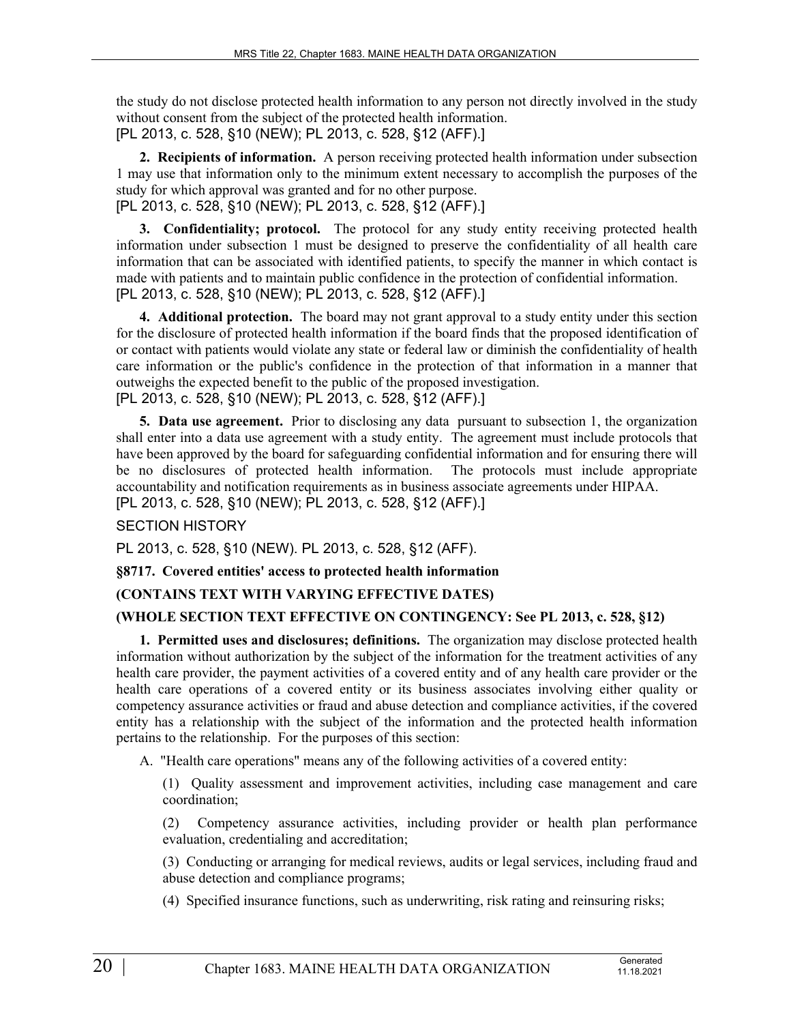the study do not disclose protected health information to any person not directly involved in the study without consent from the subject of the protected health information. [PL 2013, c. 528, §10 (NEW); PL 2013, c. 528, §12 (AFF).]

**2. Recipients of information.** A person receiving protected health information under subsection 1 may use that information only to the minimum extent necessary to accomplish the purposes of the study for which approval was granted and for no other purpose. [PL 2013, c. 528, §10 (NEW); PL 2013, c. 528, §12 (AFF).]

**3. Confidentiality; protocol.** The protocol for any study entity receiving protected health information under subsection 1 must be designed to preserve the confidentiality of all health care information that can be associated with identified patients, to specify the manner in which contact is made with patients and to maintain public confidence in the protection of confidential information. [PL 2013, c. 528, §10 (NEW); PL 2013, c. 528, §12 (AFF).]

**4. Additional protection.** The board may not grant approval to a study entity under this section for the disclosure of protected health information if the board finds that the proposed identification of or contact with patients would violate any state or federal law or diminish the confidentiality of health care information or the public's confidence in the protection of that information in a manner that outweighs the expected benefit to the public of the proposed investigation. [PL 2013, c. 528, §10 (NEW); PL 2013, c. 528, §12 (AFF).]

**5. Data use agreement.** Prior to disclosing any data pursuant to subsection 1, the organization shall enter into a data use agreement with a study entity. The agreement must include protocols that have been approved by the board for safeguarding confidential information and for ensuring there will be no disclosures of protected health information. The protocols must include appropriate accountability and notification requirements as in business associate agreements under HIPAA. [PL 2013, c. 528, §10 (NEW); PL 2013, c. 528, §12 (AFF).]

# SECTION HISTORY

PL 2013, c. 528, §10 (NEW). PL 2013, c. 528, §12 (AFF).

**§8717. Covered entities' access to protected health information**

# **(CONTAINS TEXT WITH VARYING EFFECTIVE DATES)**

# **(WHOLE SECTION TEXT EFFECTIVE ON CONTINGENCY: See PL 2013, c. 528, §12)**

**1. Permitted uses and disclosures; definitions.** The organization may disclose protected health information without authorization by the subject of the information for the treatment activities of any health care provider, the payment activities of a covered entity and of any health care provider or the health care operations of a covered entity or its business associates involving either quality or competency assurance activities or fraud and abuse detection and compliance activities, if the covered entity has a relationship with the subject of the information and the protected health information pertains to the relationship. For the purposes of this section:

A. "Health care operations" means any of the following activities of a covered entity:

(1) Quality assessment and improvement activities, including case management and care coordination;

(2) Competency assurance activities, including provider or health plan performance evaluation, credentialing and accreditation;

(3) Conducting or arranging for medical reviews, audits or legal services, including fraud and abuse detection and compliance programs;

(4) Specified insurance functions, such as underwriting, risk rating and reinsuring risks;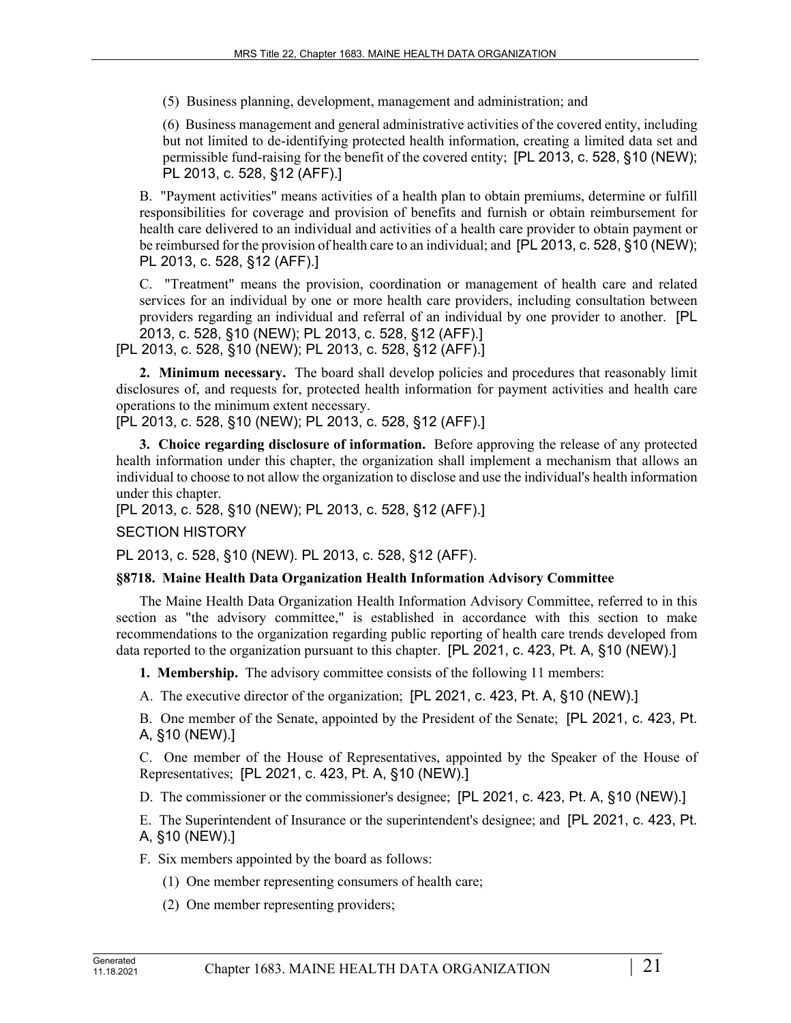(5) Business planning, development, management and administration; and

(6) Business management and general administrative activities of the covered entity, including but not limited to de-identifying protected health information, creating a limited data set and permissible fund-raising for the benefit of the covered entity; [PL 2013, c. 528, §10 (NEW); PL 2013, c. 528, §12 (AFF).]

B. "Payment activities" means activities of a health plan to obtain premiums, determine or fulfill responsibilities for coverage and provision of benefits and furnish or obtain reimbursement for health care delivered to an individual and activities of a health care provider to obtain payment or be reimbursed for the provision of health care to an individual; and [PL 2013, c. 528, §10 (NEW); PL 2013, c. 528, §12 (AFF).]

C. "Treatment" means the provision, coordination or management of health care and related services for an individual by one or more health care providers, including consultation between providers regarding an individual and referral of an individual by one provider to another. [PL 2013, c. 528, §10 (NEW); PL 2013, c. 528, §12 (AFF).] [PL 2013, c. 528, §10 (NEW); PL 2013, c. 528, §12 (AFF).]

**2. Minimum necessary.** The board shall develop policies and procedures that reasonably limit disclosures of, and requests for, protected health information for payment activities and health care operations to the minimum extent necessary.

[PL 2013, c. 528, §10 (NEW); PL 2013, c. 528, §12 (AFF).]

**3. Choice regarding disclosure of information.** Before approving the release of any protected health information under this chapter, the organization shall implement a mechanism that allows an individual to choose to not allow the organization to disclose and use the individual's health information under this chapter.

[PL 2013, c. 528, §10 (NEW); PL 2013, c. 528, §12 (AFF).]

# SECTION HISTORY

PL 2013, c. 528, §10 (NEW). PL 2013, c. 528, §12 (AFF).

# **§8718. Maine Health Data Organization Health Information Advisory Committee**

The Maine Health Data Organization Health Information Advisory Committee, referred to in this section as "the advisory committee," is established in accordance with this section to make recommendations to the organization regarding public reporting of health care trends developed from data reported to the organization pursuant to this chapter. [PL 2021, c. 423, Pt. A, §10 (NEW).]

**1. Membership.** The advisory committee consists of the following 11 members:

A. The executive director of the organization; [PL 2021, c. 423, Pt. A, §10 (NEW).]

B. One member of the Senate, appointed by the President of the Senate; [PL 2021, c. 423, Pt. A, §10 (NEW).]

C. One member of the House of Representatives, appointed by the Speaker of the House of Representatives; [PL 2021, c. 423, Pt. A, §10 (NEW).]

D. The commissioner or the commissioner's designee; [PL 2021, c. 423, Pt. A, §10 (NEW).]

E. The Superintendent of Insurance or the superintendent's designee; and [PL 2021, c. 423, Pt. A, §10 (NEW).]

F. Six members appointed by the board as follows:

(1) One member representing consumers of health care;

(2) One member representing providers;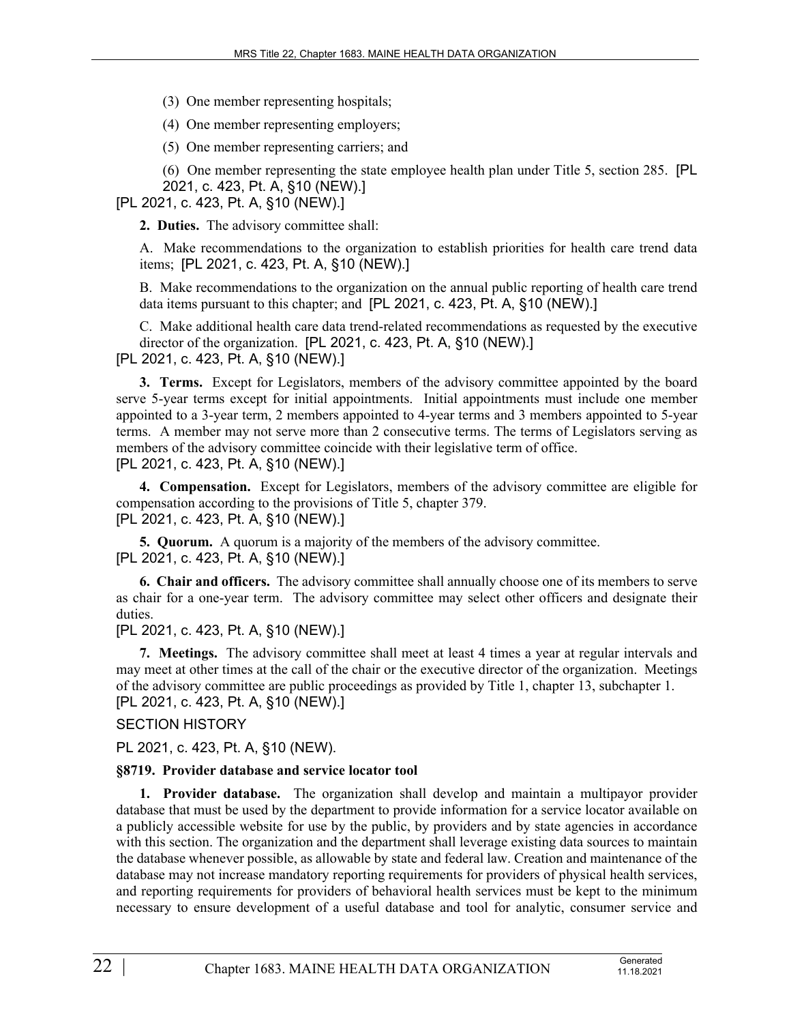(3) One member representing hospitals;

(4) One member representing employers;

(5) One member representing carriers; and

(6) One member representing the state employee health plan under Title 5, section 285. [PL 2021, c. 423, Pt. A, §10 (NEW).]

[PL 2021, c. 423, Pt. A, §10 (NEW).]

**2. Duties.** The advisory committee shall:

A. Make recommendations to the organization to establish priorities for health care trend data items; [PL 2021, c. 423, Pt. A, §10 (NEW).]

B. Make recommendations to the organization on the annual public reporting of health care trend data items pursuant to this chapter; and [PL 2021, c. 423, Pt. A, §10 (NEW).]

C. Make additional health care data trend-related recommendations as requested by the executive director of the organization. [PL 2021, c. 423, Pt. A, §10 (NEW).]

[PL 2021, c. 423, Pt. A, §10 (NEW).]

**3. Terms.** Except for Legislators, members of the advisory committee appointed by the board serve 5-year terms except for initial appointments. Initial appointments must include one member appointed to a 3-year term, 2 members appointed to 4-year terms and 3 members appointed to 5-year terms. A member may not serve more than 2 consecutive terms. The terms of Legislators serving as members of the advisory committee coincide with their legislative term of office. [PL 2021, c. 423, Pt. A, §10 (NEW).]

**4. Compensation.** Except for Legislators, members of the advisory committee are eligible for compensation according to the provisions of Title 5, chapter 379. [PL 2021, c. 423, Pt. A, §10 (NEW).]

**5. Quorum.** A quorum is a majority of the members of the advisory committee. [PL 2021, c. 423, Pt. A, §10 (NEW).]

**6. Chair and officers.** The advisory committee shall annually choose one of its members to serve as chair for a one-year term. The advisory committee may select other officers and designate their duties.

[PL 2021, c. 423, Pt. A, §10 (NEW).]

**7. Meetings.** The advisory committee shall meet at least 4 times a year at regular intervals and may meet at other times at the call of the chair or the executive director of the organization. Meetings of the advisory committee are public proceedings as provided by Title 1, chapter 13, subchapter 1. [PL 2021, c. 423, Pt. A, §10 (NEW).]

SECTION HISTORY

PL 2021, c. 423, Pt. A, §10 (NEW).

### **§8719. Provider database and service locator tool**

**1. Provider database.** The organization shall develop and maintain a multipayor provider database that must be used by the department to provide information for a service locator available on a publicly accessible website for use by the public, by providers and by state agencies in accordance with this section. The organization and the department shall leverage existing data sources to maintain the database whenever possible, as allowable by state and federal law. Creation and maintenance of the database may not increase mandatory reporting requirements for providers of physical health services, and reporting requirements for providers of behavioral health services must be kept to the minimum necessary to ensure development of a useful database and tool for analytic, consumer service and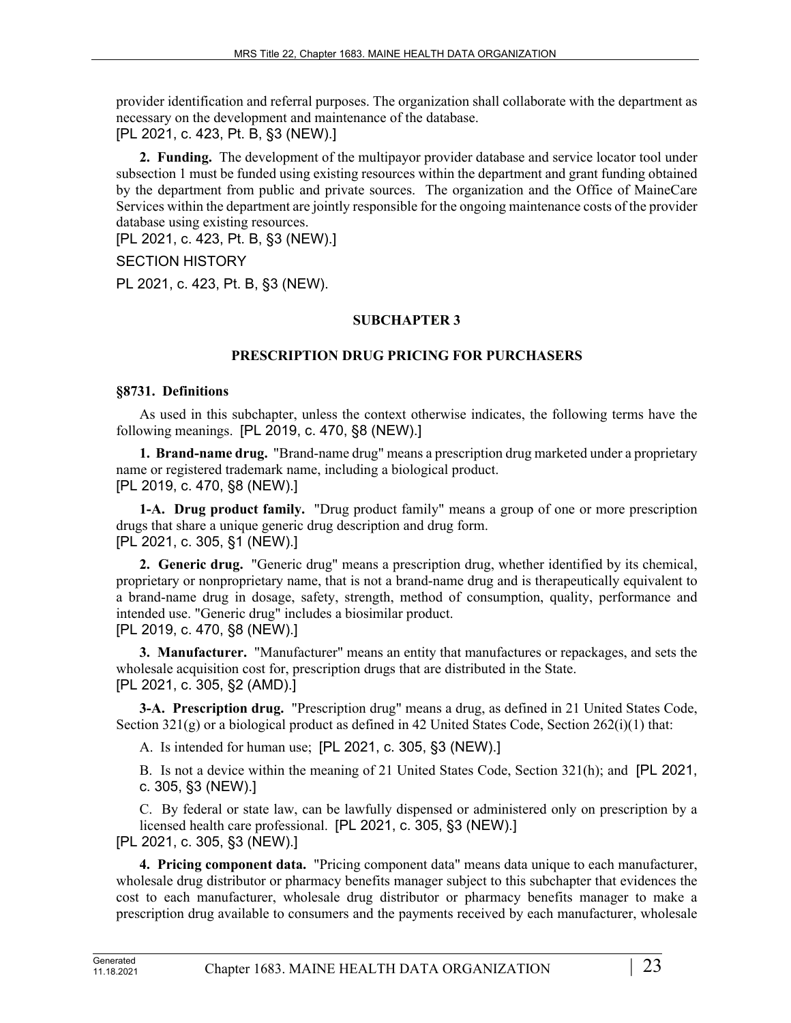provider identification and referral purposes. The organization shall collaborate with the department as necessary on the development and maintenance of the database. [PL 2021, c. 423, Pt. B, §3 (NEW).]

**2. Funding.** The development of the multipayor provider database and service locator tool under subsection 1 must be funded using existing resources within the department and grant funding obtained by the department from public and private sources. The organization and the Office of MaineCare Services within the department are jointly responsible for the ongoing maintenance costs of the provider database using existing resources.

[PL 2021, c. 423, Pt. B, §3 (NEW).]

SECTION HISTORY

PL 2021, c. 423, Pt. B, §3 (NEW).

# **SUBCHAPTER 3**

# **PRESCRIPTION DRUG PRICING FOR PURCHASERS**

# **§8731. Definitions**

As used in this subchapter, unless the context otherwise indicates, the following terms have the following meanings. [PL 2019, c. 470, §8 (NEW).]

**1. Brand-name drug.** "Brand-name drug" means a prescription drug marketed under a proprietary name or registered trademark name, including a biological product. [PL 2019, c. 470, §8 (NEW).]

**1-A. Drug product family.** "Drug product family" means a group of one or more prescription drugs that share a unique generic drug description and drug form. [PL 2021, c. 305, §1 (NEW).]

**2. Generic drug.** "Generic drug" means a prescription drug, whether identified by its chemical, proprietary or nonproprietary name, that is not a brand-name drug and is therapeutically equivalent to a brand-name drug in dosage, safety, strength, method of consumption, quality, performance and intended use. "Generic drug" includes a biosimilar product. [PL 2019, c. 470, §8 (NEW).]

**3. Manufacturer.** "Manufacturer" means an entity that manufactures or repackages, and sets the wholesale acquisition cost for, prescription drugs that are distributed in the State. [PL 2021, c. 305, §2 (AMD).]

**3-A. Prescription drug.** "Prescription drug" means a drug, as defined in 21 United States Code, Section 321(g) or a biological product as defined in 42 United States Code, Section 262(i)(1) that:

A. Is intended for human use; [PL 2021, c. 305, §3 (NEW).]

B. Is not a device within the meaning of 21 United States Code, Section 321(h); and [PL 2021, c. 305, §3 (NEW).]

C. By federal or state law, can be lawfully dispensed or administered only on prescription by a licensed health care professional. [PL 2021, c. 305, §3 (NEW).] [PL 2021, c. 305, §3 (NEW).]

**4. Pricing component data.** "Pricing component data" means data unique to each manufacturer, wholesale drug distributor or pharmacy benefits manager subject to this subchapter that evidences the cost to each manufacturer, wholesale drug distributor or pharmacy benefits manager to make a prescription drug available to consumers and the payments received by each manufacturer, wholesale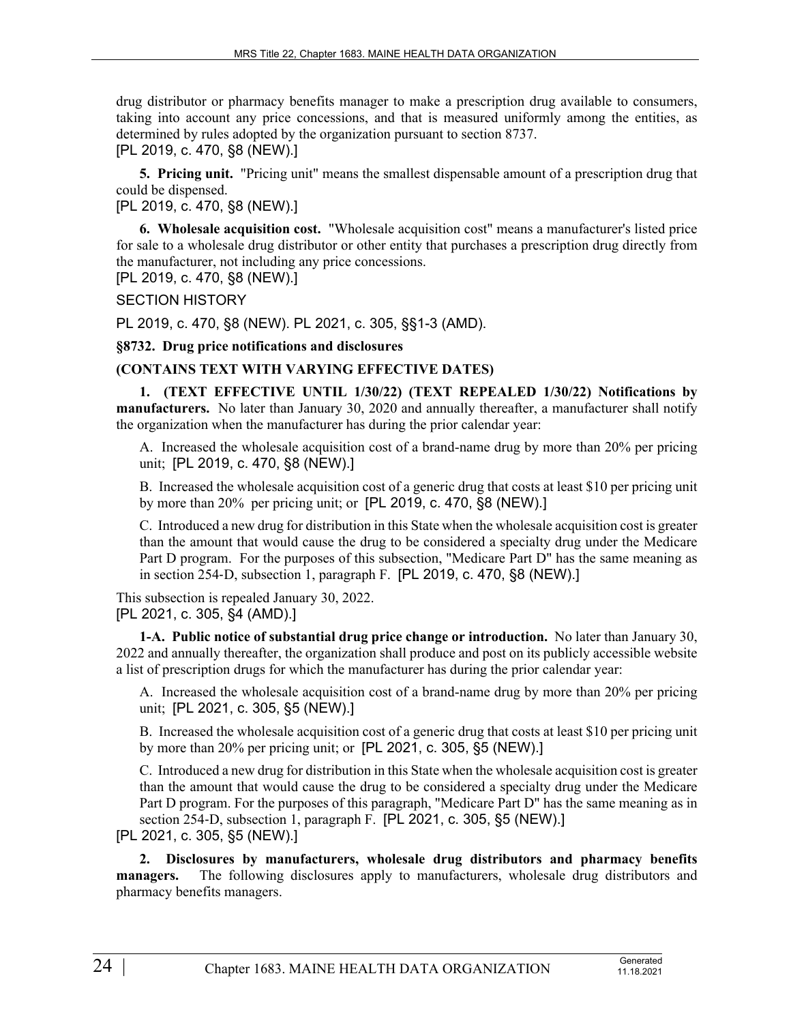drug distributor or pharmacy benefits manager to make a prescription drug available to consumers, taking into account any price concessions, and that is measured uniformly among the entities, as determined by rules adopted by the organization pursuant to section 8737.

[PL 2019, c. 470, §8 (NEW).]

**5. Pricing unit.** "Pricing unit" means the smallest dispensable amount of a prescription drug that could be dispensed.

[PL 2019, c. 470, §8 (NEW).]

**6. Wholesale acquisition cost.** "Wholesale acquisition cost" means a manufacturer's listed price for sale to a wholesale drug distributor or other entity that purchases a prescription drug directly from the manufacturer, not including any price concessions.

[PL 2019, c. 470, §8 (NEW).]

SECTION HISTORY

PL 2019, c. 470, §8 (NEW). PL 2021, c. 305, §§1-3 (AMD).

### **§8732. Drug price notifications and disclosures**

# **(CONTAINS TEXT WITH VARYING EFFECTIVE DATES)**

**1. (TEXT EFFECTIVE UNTIL 1/30/22) (TEXT REPEALED 1/30/22) Notifications by manufacturers.** No later than January 30, 2020 and annually thereafter, a manufacturer shall notify the organization when the manufacturer has during the prior calendar year:

A. Increased the wholesale acquisition cost of a brand-name drug by more than 20% per pricing unit; [PL 2019, c. 470, §8 (NEW).]

B. Increased the wholesale acquisition cost of a generic drug that costs at least \$10 per pricing unit by more than 20% per pricing unit; or [PL 2019, c. 470, §8 (NEW).]

C. Introduced a new drug for distribution in this State when the wholesale acquisition cost is greater than the amount that would cause the drug to be considered a specialty drug under the Medicare Part D program. For the purposes of this subsection, "Medicare Part D" has the same meaning as in section 254‑D, subsection 1, paragraph F. [PL 2019, c. 470, §8 (NEW).]

This subsection is repealed January 30, 2022.

[PL 2021, c. 305, §4 (AMD).]

**1-A. Public notice of substantial drug price change or introduction.** No later than January 30, 2022 and annually thereafter, the organization shall produce and post on its publicly accessible website a list of prescription drugs for which the manufacturer has during the prior calendar year:

A. Increased the wholesale acquisition cost of a brand-name drug by more than 20% per pricing unit; [PL 2021, c. 305, §5 (NEW).]

B. Increased the wholesale acquisition cost of a generic drug that costs at least \$10 per pricing unit by more than 20% per pricing unit; or [PL 2021, c. 305, §5 (NEW).]

C. Introduced a new drug for distribution in this State when the wholesale acquisition cost is greater than the amount that would cause the drug to be considered a specialty drug under the Medicare Part D program. For the purposes of this paragraph, "Medicare Part D" has the same meaning as in section 254‑D, subsection 1, paragraph F. [PL 2021, c. 305, §5 (NEW).]

[PL 2021, c. 305, §5 (NEW).]

**2. Disclosures by manufacturers, wholesale drug distributors and pharmacy benefits managers.** The following disclosures apply to manufacturers, wholesale drug distributors and pharmacy benefits managers.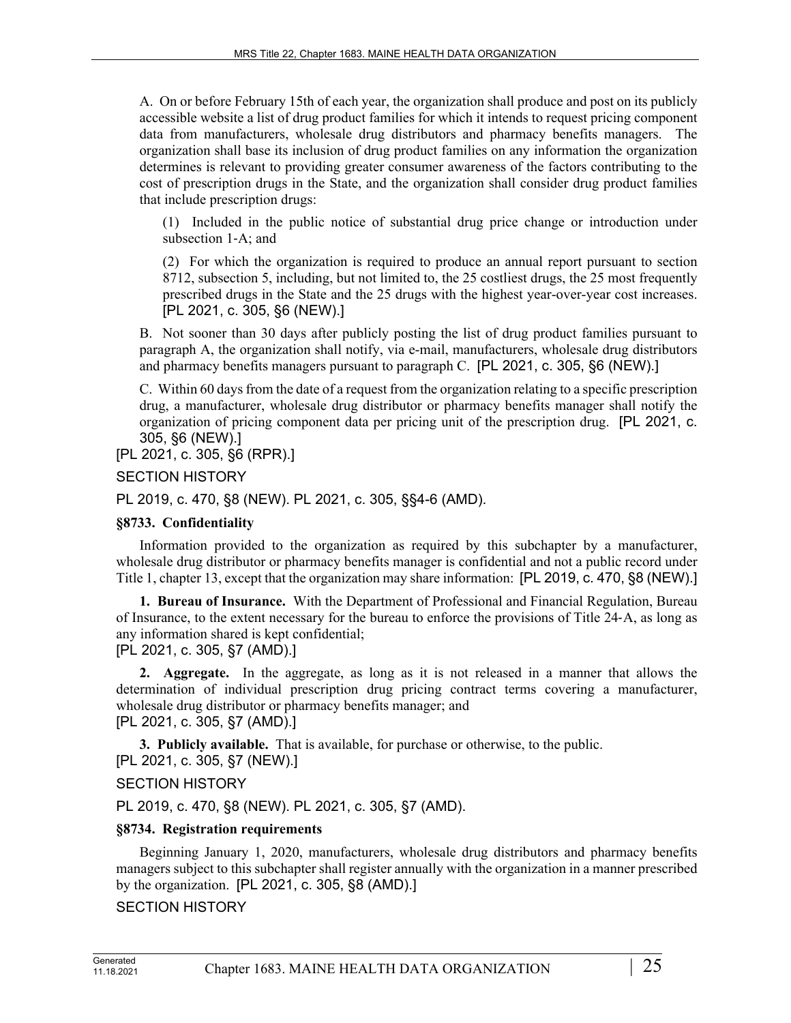A. On or before February 15th of each year, the organization shall produce and post on its publicly accessible website a list of drug product families for which it intends to request pricing component data from manufacturers, wholesale drug distributors and pharmacy benefits managers. The organization shall base its inclusion of drug product families on any information the organization determines is relevant to providing greater consumer awareness of the factors contributing to the cost of prescription drugs in the State, and the organization shall consider drug product families that include prescription drugs:

(1) Included in the public notice of substantial drug price change or introduction under subsection 1‑A; and

(2) For which the organization is required to produce an annual report pursuant to section 8712, subsection 5, including, but not limited to, the 25 costliest drugs, the 25 most frequently prescribed drugs in the State and the 25 drugs with the highest year-over-year cost increases. [PL 2021, c. 305, §6 (NEW).]

B. Not sooner than 30 days after publicly posting the list of drug product families pursuant to paragraph A, the organization shall notify, via e-mail, manufacturers, wholesale drug distributors and pharmacy benefits managers pursuant to paragraph C. [PL 2021, c. 305, §6 (NEW).]

C. Within 60 days from the date of a request from the organization relating to a specific prescription drug, a manufacturer, wholesale drug distributor or pharmacy benefits manager shall notify the organization of pricing component data per pricing unit of the prescription drug. [PL 2021, c. 305, §6 (NEW).]

[PL 2021, c. 305, §6 (RPR).]

### SECTION HISTORY

PL 2019, c. 470, §8 (NEW). PL 2021, c. 305, §§4-6 (AMD).

### **§8733. Confidentiality**

Information provided to the organization as required by this subchapter by a manufacturer, wholesale drug distributor or pharmacy benefits manager is confidential and not a public record under Title 1, chapter 13, except that the organization may share information: [PL 2019, c. 470, §8 (NEW).]

**1. Bureau of Insurance.** With the Department of Professional and Financial Regulation, Bureau of Insurance, to the extent necessary for the bureau to enforce the provisions of Title 24‑A, as long as any information shared is kept confidential; [PL 2021, c. 305, §7 (AMD).]

**2. Aggregate.** In the aggregate, as long as it is not released in a manner that allows the determination of individual prescription drug pricing contract terms covering a manufacturer, wholesale drug distributor or pharmacy benefits manager; and

[PL 2021, c. 305, §7 (AMD).]

**3. Publicly available.** That is available, for purchase or otherwise, to the public.

# [PL 2021, c. 305, §7 (NEW).]

SECTION HISTORY

PL 2019, c. 470, §8 (NEW). PL 2021, c. 305, §7 (AMD).

### **§8734. Registration requirements**

Beginning January 1, 2020, manufacturers, wholesale drug distributors and pharmacy benefits managers subject to this subchapter shall register annually with the organization in a manner prescribed by the organization. [PL 2021, c. 305, §8 (AMD).]

# SECTION HISTORY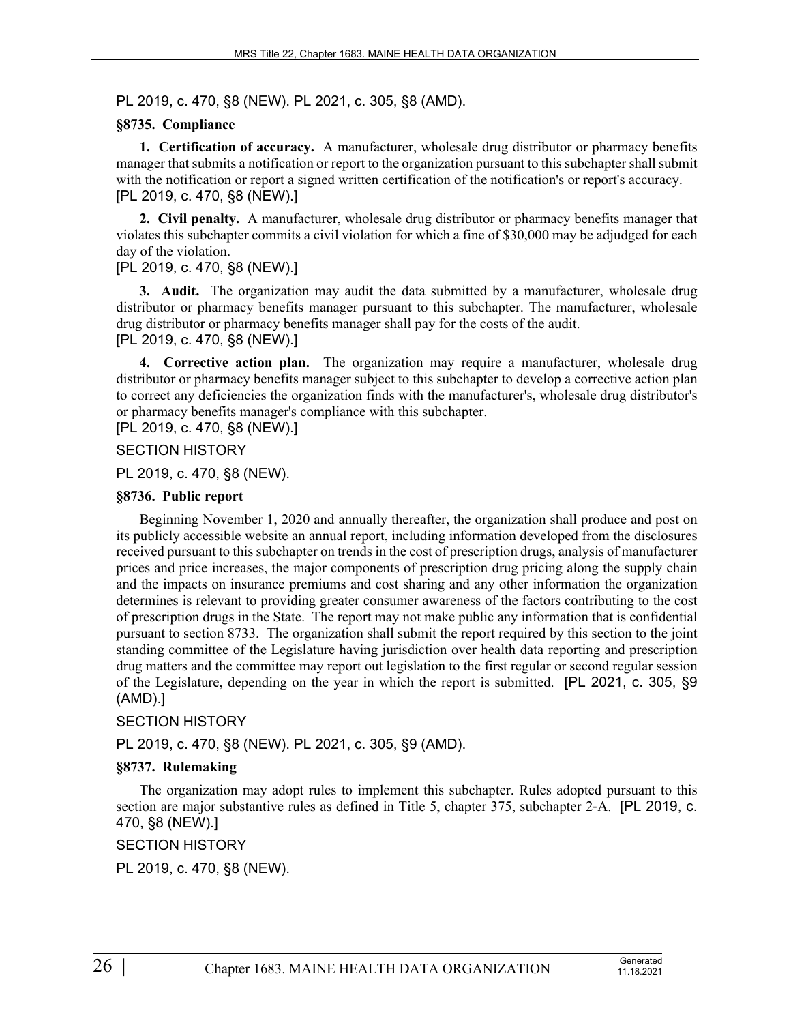PL 2019, c. 470, §8 (NEW). PL 2021, c. 305, §8 (AMD).

#### **§8735. Compliance**

**1. Certification of accuracy.** A manufacturer, wholesale drug distributor or pharmacy benefits manager that submits a notification or report to the organization pursuant to this subchapter shall submit with the notification or report a signed written certification of the notification's or report's accuracy. [PL 2019, c. 470, §8 (NEW).]

**2. Civil penalty.** A manufacturer, wholesale drug distributor or pharmacy benefits manager that violates this subchapter commits a civil violation for which a fine of \$30,000 may be adjudged for each day of the violation.

#### [PL 2019, c. 470, §8 (NEW).]

**3. Audit.** The organization may audit the data submitted by a manufacturer, wholesale drug distributor or pharmacy benefits manager pursuant to this subchapter. The manufacturer, wholesale drug distributor or pharmacy benefits manager shall pay for the costs of the audit. [PL 2019, c. 470, §8 (NEW).]

**4. Corrective action plan.** The organization may require a manufacturer, wholesale drug distributor or pharmacy benefits manager subject to this subchapter to develop a corrective action plan to correct any deficiencies the organization finds with the manufacturer's, wholesale drug distributor's or pharmacy benefits manager's compliance with this subchapter.

[PL 2019, c. 470, §8 (NEW).]

# SECTION HISTORY

PL 2019, c. 470, §8 (NEW).

#### **§8736. Public report**

Beginning November 1, 2020 and annually thereafter, the organization shall produce and post on its publicly accessible website an annual report, including information developed from the disclosures received pursuant to this subchapter on trends in the cost of prescription drugs, analysis of manufacturer prices and price increases, the major components of prescription drug pricing along the supply chain and the impacts on insurance premiums and cost sharing and any other information the organization determines is relevant to providing greater consumer awareness of the factors contributing to the cost of prescription drugs in the State. The report may not make public any information that is confidential pursuant to section 8733. The organization shall submit the report required by this section to the joint standing committee of the Legislature having jurisdiction over health data reporting and prescription drug matters and the committee may report out legislation to the first regular or second regular session of the Legislature, depending on the year in which the report is submitted. [PL 2021, c. 305, §9 (AMD).]

### SECTION HISTORY

PL 2019, c. 470, §8 (NEW). PL 2021, c. 305, §9 (AMD).

### **§8737. Rulemaking**

The organization may adopt rules to implement this subchapter. Rules adopted pursuant to this section are major substantive rules as defined in Title 5, chapter 375, subchapter 2-A. [PL 2019, c. 470, §8 (NEW).]

# SECTION HISTORY

PL 2019, c. 470, §8 (NEW).